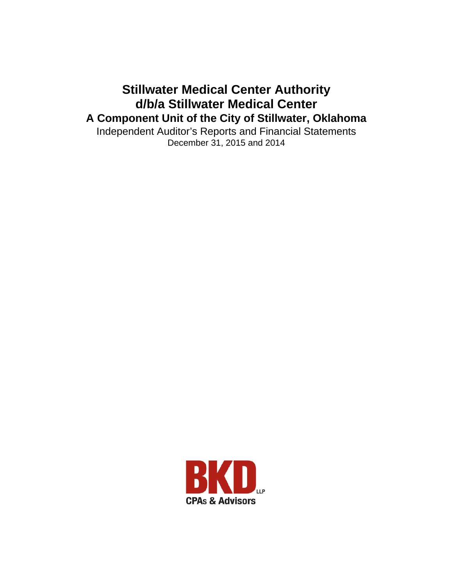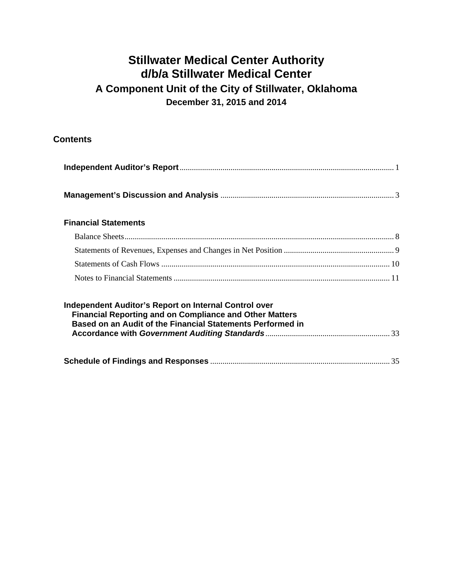### **Contents**

#### **Financial Statements**

| Independent Auditor's Report on Internal Control over<br><b>Financial Reporting and on Compliance and Other Matters</b><br>Based on an Audit of the Financial Statements Performed in |  |
|---------------------------------------------------------------------------------------------------------------------------------------------------------------------------------------|--|
|                                                                                                                                                                                       |  |
|                                                                                                                                                                                       |  |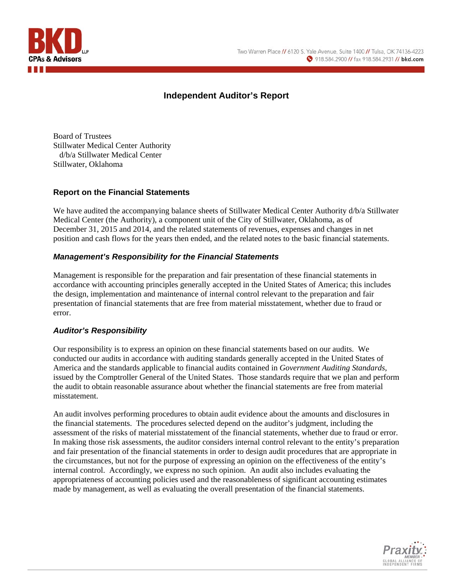

### **Independent Auditor's Report**

Board of Trustees Stillwater Medical Center Authority d/b/a Stillwater Medical Center Stillwater, Oklahoma

#### **Report on the Financial Statements**

We have audited the accompanying balance sheets of Stillwater Medical Center Authority d/b/a Stillwater Medical Center (the Authority), a component unit of the City of Stillwater, Oklahoma, as of December 31, 2015 and 2014, and the related statements of revenues, expenses and changes in net position and cash flows for the years then ended, and the related notes to the basic financial statements.

#### *Management's Responsibility for the Financial Statements*

Management is responsible for the preparation and fair presentation of these financial statements in accordance with accounting principles generally accepted in the United States of America; this includes the design, implementation and maintenance of internal control relevant to the preparation and fair presentation of financial statements that are free from material misstatement, whether due to fraud or error.

#### *Auditor's Responsibility*

Our responsibility is to express an opinion on these financial statements based on our audits. We conducted our audits in accordance with auditing standards generally accepted in the United States of America and the standards applicable to financial audits contained in *Government Auditing Standards*, issued by the Comptroller General of the United States. Those standards require that we plan and perform the audit to obtain reasonable assurance about whether the financial statements are free from material misstatement.

An audit involves performing procedures to obtain audit evidence about the amounts and disclosures in the financial statements. The procedures selected depend on the auditor's judgment, including the assessment of the risks of material misstatement of the financial statements, whether due to fraud or error. In making those risk assessments, the auditor considers internal control relevant to the entity's preparation and fair presentation of the financial statements in order to design audit procedures that are appropriate in the circumstances, but not for the purpose of expressing an opinion on the effectiveness of the entity's internal control. Accordingly, we express no such opinion. An audit also includes evaluating the appropriateness of accounting policies used and the reasonableness of significant accounting estimates made by management, as well as evaluating the overall presentation of the financial statements.

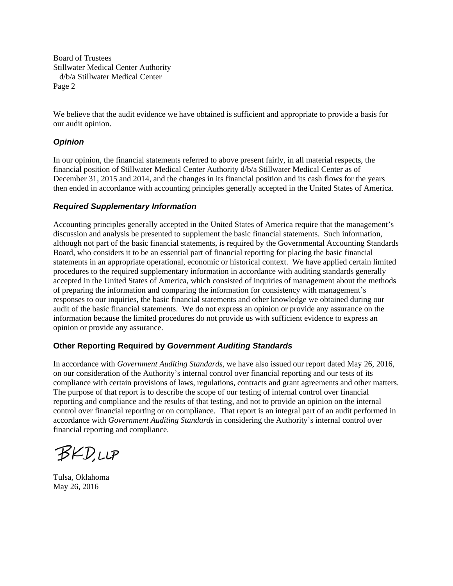Board of Trustees Stillwater Medical Center Authority d/b/a Stillwater Medical Center Page 2

We believe that the audit evidence we have obtained is sufficient and appropriate to provide a basis for our audit opinion.

#### *Opinion*

In our opinion, the financial statements referred to above present fairly, in all material respects, the financial position of Stillwater Medical Center Authority d/b/a Stillwater Medical Center as of December 31, 2015 and 2014, and the changes in its financial position and its cash flows for the years then ended in accordance with accounting principles generally accepted in the United States of America.

#### *Required Supplementary Information*

Accounting principles generally accepted in the United States of America require that the management's discussion and analysis be presented to supplement the basic financial statements. Such information, although not part of the basic financial statements, is required by the Governmental Accounting Standards Board, who considers it to be an essential part of financial reporting for placing the basic financial statements in an appropriate operational, economic or historical context. We have applied certain limited procedures to the required supplementary information in accordance with auditing standards generally accepted in the United States of America, which consisted of inquiries of management about the methods of preparing the information and comparing the information for consistency with management's responses to our inquiries, the basic financial statements and other knowledge we obtained during our audit of the basic financial statements. We do not express an opinion or provide any assurance on the information because the limited procedures do not provide us with sufficient evidence to express an opinion or provide any assurance.

#### **Other Reporting Required by** *Government Auditing Standards*

In accordance with *Government Auditing Standards*, we have also issued our report dated May 26, 2016, on our consideration of the Authority's internal control over financial reporting and our tests of its compliance with certain provisions of laws, regulations, contracts and grant agreements and other matters. The purpose of that report is to describe the scope of our testing of internal control over financial reporting and compliance and the results of that testing, and not to provide an opinion on the internal control over financial reporting or on compliance. That report is an integral part of an audit performed in accordance with *Government Auditing Standards* in considering the Authority's internal control over financial reporting and compliance.

BKDUP

Tulsa, Oklahoma May 26, 2016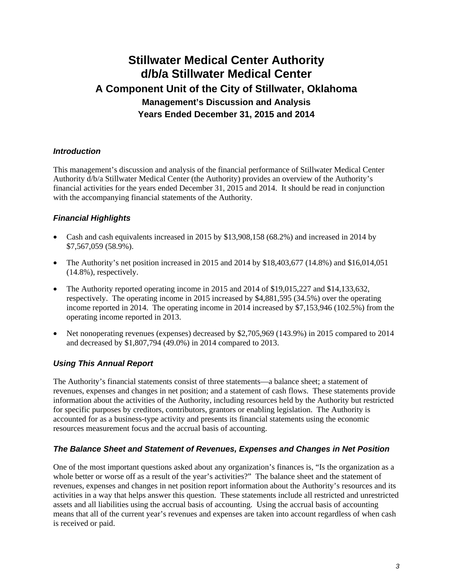# **Stillwater Medical Center Authority d/b/a Stillwater Medical Center A Component Unit of the City of Stillwater, Oklahoma Management's Discussion and Analysis Years Ended December 31, 2015 and 2014**

#### *Introduction*

This management's discussion and analysis of the financial performance of Stillwater Medical Center Authority d/b/a Stillwater Medical Center (the Authority) provides an overview of the Authority's financial activities for the years ended December 31, 2015 and 2014. It should be read in conjunction with the accompanying financial statements of the Authority.

#### *Financial Highlights*

- Cash and cash equivalents increased in 2015 by \$13,908,158 (68.2%) and increased in 2014 by \$7,567,059 (58.9%).
- The Authority's net position increased in 2015 and 2014 by  $$18,403,677$  (14.8%) and  $$16,014,051$ (14.8%), respectively.
- The Authority reported operating income in 2015 and 2014 of \$19,015,227 and \$14,133,632, respectively. The operating income in 2015 increased by \$4,881,595 (34.5%) over the operating income reported in 2014. The operating income in 2014 increased by \$7,153,946 (102.5%) from the operating income reported in 2013.
- Net nonoperating revenues (expenses) decreased by \$2,705,969 (143.9%) in 2015 compared to 2014 and decreased by \$1,807,794 (49.0%) in 2014 compared to 2013.

### *Using This Annual Report*

The Authority's financial statements consist of three statements—a balance sheet; a statement of revenues, expenses and changes in net position; and a statement of cash flows. These statements provide information about the activities of the Authority, including resources held by the Authority but restricted for specific purposes by creditors, contributors, grantors or enabling legislation. The Authority is accounted for as a business-type activity and presents its financial statements using the economic resources measurement focus and the accrual basis of accounting.

#### *The Balance Sheet and Statement of Revenues, Expenses and Changes in Net Position*

One of the most important questions asked about any organization's finances is, "Is the organization as a whole better or worse off as a result of the year's activities?" The balance sheet and the statement of revenues, expenses and changes in net position report information about the Authority's resources and its activities in a way that helps answer this question. These statements include all restricted and unrestricted assets and all liabilities using the accrual basis of accounting. Using the accrual basis of accounting means that all of the current year's revenues and expenses are taken into account regardless of when cash is received or paid.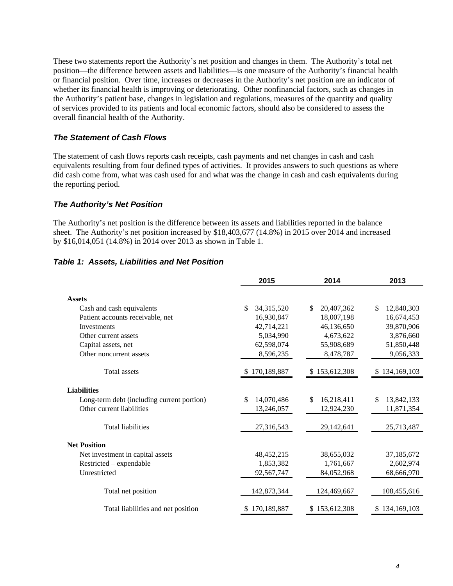These two statements report the Authority's net position and changes in them. The Authority's total net position—the difference between assets and liabilities—is one measure of the Authority's financial health or financial position. Over time, increases or decreases in the Authority's net position are an indicator of whether its financial health is improving or deteriorating. Other nonfinancial factors, such as changes in the Authority's patient base, changes in legislation and regulations, measures of the quantity and quality of services provided to its patients and local economic factors, should also be considered to assess the overall financial health of the Authority.

#### *The Statement of Cash Flows*

The statement of cash flows reports cash receipts, cash payments and net changes in cash and cash equivalents resulting from four defined types of activities. It provides answers to such questions as where did cash come from, what was cash used for and what was the change in cash and cash equivalents during the reporting period.

#### *The Authority's Net Position*

The Authority's net position is the difference between its assets and liabilities reported in the balance sheet. The Authority's net position increased by \$18,403,677 (14.8%) in 2015 over 2014 and increased by \$16,014,051 (14.8%) in 2014 over 2013 as shown in Table 1.

#### *Table 1: Assets, Liabilities and Net Position*

|                                            | 2015             | 2014             | 2013              |
|--------------------------------------------|------------------|------------------|-------------------|
| <b>Assets</b>                              |                  |                  |                   |
| Cash and cash equivalents                  | 34,315,520<br>\$ | \$<br>20,407,362 | 12,840,303<br>\$  |
| Patient accounts receivable, net           | 16,930,847       | 18,007,198       | 16,674,453        |
| Investments                                | 42,714,221       | 46,136,650       | 39,870,906        |
| Other current assets                       | 5,034,990        | 4,673,622        | 3,876,660         |
| Capital assets, net                        | 62,598,074       | 55,908,689       | 51,850,448        |
| Other noncurrent assets                    | 8,596,235        | 8,478,787        | 9,056,333         |
| Total assets                               | 170,189,887      | \$153,612,308    | \$134,169,103     |
| <b>Liabilities</b>                         |                  |                  |                   |
| Long-term debt (including current portion) | \$<br>14,070,486 | \$<br>16,218,411 | \$.<br>13,842,133 |
| Other current liabilities                  | 13,246,057       | 12,924,230       | 11,871,354        |
| <b>Total liabilities</b>                   | 27,316,543       | 29,142,641       | 25,713,487        |
| <b>Net Position</b>                        |                  |                  |                   |
| Net investment in capital assets           | 48,452,215       | 38,655,032       | 37,185,672        |
| Restricted – expendable                    | 1,853,382        | 1,761,667        | 2,602,974         |
| Unrestricted                               | 92,567,747       | 84,052,968       | 68,666,970        |
| Total net position                         | 142,873,344      | 124,469,667      | 108,455,616       |
| Total liabilities and net position         | 170,189,887      | \$153,612,308    | \$134,169,103     |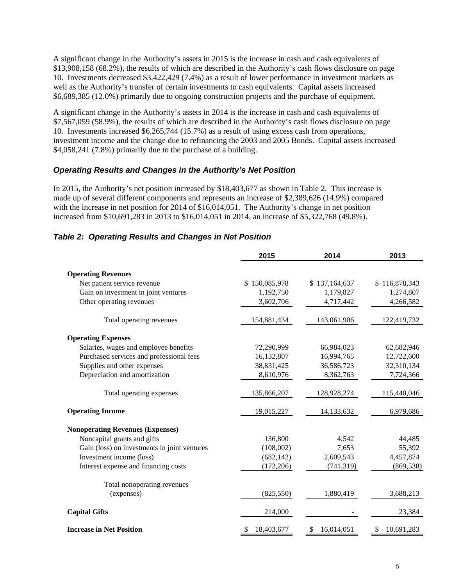A significant change in the Authority's assets in 2015 is the increase in cash and cash equivalents of \$13,908,158 (68.2%), the results of which are described in the Authority's cash flows disclosure on page 10. Investments decreased \$3,422,429 (7.4%) as a result of lower performance in investment markets as well as the Authority's transfer of certain investments to cash equivalents. Capital assets increased \$6,689,385 (12.0%) primarily due to ongoing construction projects and the purchase of equipment.

A significant change in the Authority's assets in 2014 is the increase in cash and cash equivalents of \$7,567,059 (58.9%), the results of which are described in the Authority's cash flows disclosure on page 10. Investments increased \$6,265,744 (15.7%) as a result of using excess cash from operations, investment income and the change due to refinancing the 2003 and 2005 Bonds. Capital assets increased \$4,058,241 (7.8%) primarily due to the purchase of a building.

#### *Operating Results and Changes in the Authority's Net Position*

In 2015, the Authority's net position increased by \$18,403,677 as shown in Table 2. This increase is made up of several different components and represents an increase of \$2,389,626 (14.9%) compared with the increase in net position for 2014 of \$16,014,051. The Authority's change in net position increased from \$10,691,283 in 2013 to \$16,014,051 in 2014, an increase of \$5,322,768 (49.8%).

|                                              | 2015          | 2014          | 2013             |
|----------------------------------------------|---------------|---------------|------------------|
| <b>Operating Revenues</b>                    |               |               |                  |
| Net patient service revenue                  | \$150,085,978 | \$137,164,637 | \$116,878,343    |
| Gain on investment in joint ventures         | 1,192,750     | 1,179,827     | 1,274,807        |
| Other operating revenues                     | 3,602,706     | 4,717,442     | 4,266,582        |
| Total operating revenues                     | 154,881,434   | 143,061,906   | 122,419,732      |
| <b>Operating Expenses</b>                    |               |               |                  |
| Salaries, wages and employee benefits        | 72,290,999    | 66,984,023    | 62,682,946       |
| Purchased services and professional fees     | 16,132,807    | 16,994,765    | 12,722,600       |
| Supplies and other expenses                  | 38,831,425    | 36,586,723    | 32,310,134       |
| Depreciation and amortization                | 8,610,976     | 8,362,763     | 7,724,366        |
| Total operating expenses                     | 135,866,207   | 128,928,274   | 115,440,046      |
| <b>Operating Income</b>                      | 19,015,227    | 14,133,632    | 6,979,686        |
| <b>Nonoperating Revenues (Expenses)</b>      |               |               |                  |
| Noncapital grants and gifts                  | 136,800       | 4,542         | 44,485           |
| Gain (loss) on investments in joint ventures | (108,002)     | 7,653         | 55,392           |
| Investment income (loss)                     | (682, 142)    | 2,609,543     | 4,457,874        |
| Interest expense and financing costs         | (172, 206)    | (741, 319)    | (869, 538)       |
| Total nonoperating revenues                  |               |               |                  |
| (expenses)                                   | (825, 550)    | 1,880,419     | 3,688,213        |
| <b>Capital Gifts</b>                         | 214,000       |               | 23,384           |
| <b>Increase in Net Position</b>              | 18,403,677    | 16,014,051    | 10,691,283<br>\$ |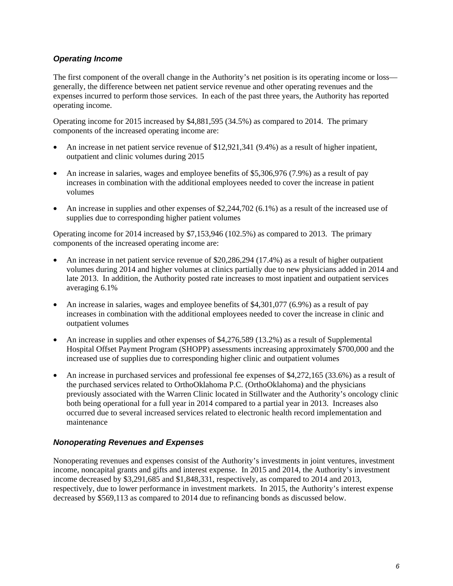#### *Operating Income*

The first component of the overall change in the Authority's net position is its operating income or loss generally, the difference between net patient service revenue and other operating revenues and the expenses incurred to perform those services. In each of the past three years, the Authority has reported operating income.

Operating income for 2015 increased by \$4,881,595 (34.5%) as compared to 2014. The primary components of the increased operating income are:

- An increase in net patient service revenue of \$12,921,341 (9.4%) as a result of higher inpatient, outpatient and clinic volumes during 2015
- An increase in salaries, wages and employee benefits of \$5,306,976 (7.9%) as a result of pay increases in combination with the additional employees needed to cover the increase in patient volumes
- An increase in supplies and other expenses of \$2,244,702 (6.1%) as a result of the increased use of supplies due to corresponding higher patient volumes

Operating income for 2014 increased by \$7,153,946 (102.5%) as compared to 2013. The primary components of the increased operating income are:

- An increase in net patient service revenue of \$20,286,294 (17.4%) as a result of higher outpatient volumes during 2014 and higher volumes at clinics partially due to new physicians added in 2014 and late 2013. In addition, the Authority posted rate increases to most inpatient and outpatient services averaging 6.1%
- An increase in salaries, wages and employee benefits of  $$4,301,077$  (6.9%) as a result of pay increases in combination with the additional employees needed to cover the increase in clinic and outpatient volumes
- An increase in supplies and other expenses of \$4,276,589 (13.2%) as a result of Supplemental Hospital Offset Payment Program (SHOPP) assessments increasing approximately \$700,000 and the increased use of supplies due to corresponding higher clinic and outpatient volumes
- An increase in purchased services and professional fee expenses of \$4,272,165 (33.6%) as a result of the purchased services related to OrthoOklahoma P.C. (OrthoOklahoma) and the physicians previously associated with the Warren Clinic located in Stillwater and the Authority's oncology clinic both being operational for a full year in 2014 compared to a partial year in 2013. Increases also occurred due to several increased services related to electronic health record implementation and maintenance

#### *Nonoperating Revenues and Expenses*

Nonoperating revenues and expenses consist of the Authority's investments in joint ventures, investment income, noncapital grants and gifts and interest expense. In 2015 and 2014, the Authority's investment income decreased by \$3,291,685 and \$1,848,331, respectively, as compared to 2014 and 2013, respectively, due to lower performance in investment markets. In 2015, the Authority's interest expense decreased by \$569,113 as compared to 2014 due to refinancing bonds as discussed below.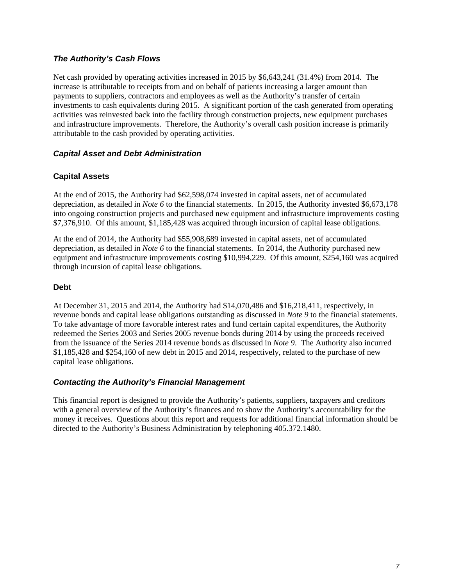#### *The Authority's Cash Flows*

Net cash provided by operating activities increased in 2015 by \$6,643,241 (31.4%) from 2014. The increase is attributable to receipts from and on behalf of patients increasing a larger amount than payments to suppliers, contractors and employees as well as the Authority's transfer of certain investments to cash equivalents during 2015. A significant portion of the cash generated from operating activities was reinvested back into the facility through construction projects, new equipment purchases and infrastructure improvements. Therefore, the Authority's overall cash position increase is primarily attributable to the cash provided by operating activities.

#### *Capital Asset and Debt Administration*

#### **Capital Assets**

At the end of 2015, the Authority had \$62,598,074 invested in capital assets, net of accumulated depreciation, as detailed in *Note 6* to the financial statements. In 2015, the Authority invested \$6,673,178 into ongoing construction projects and purchased new equipment and infrastructure improvements costing \$7,376,910. Of this amount, \$1,185,428 was acquired through incursion of capital lease obligations.

At the end of 2014, the Authority had \$55,908,689 invested in capital assets, net of accumulated depreciation, as detailed in *Note 6* to the financial statements. In 2014, the Authority purchased new equipment and infrastructure improvements costing \$10,994,229. Of this amount, \$254,160 was acquired through incursion of capital lease obligations.

#### **Debt**

At December 31, 2015 and 2014, the Authority had \$14,070,486 and \$16,218,411, respectively, in revenue bonds and capital lease obligations outstanding as discussed in *Note 9* to the financial statements. To take advantage of more favorable interest rates and fund certain capital expenditures, the Authority redeemed the Series 2003 and Series 2005 revenue bonds during 2014 by using the proceeds received from the issuance of the Series 2014 revenue bonds as discussed in *Note 9*. The Authority also incurred \$1,185,428 and \$254,160 of new debt in 2015 and 2014, respectively, related to the purchase of new capital lease obligations.

#### *Contacting the Authority's Financial Management*

This financial report is designed to provide the Authority's patients, suppliers, taxpayers and creditors with a general overview of the Authority's finances and to show the Authority's accountability for the money it receives. Questions about this report and requests for additional financial information should be directed to the Authority's Business Administration by telephoning 405.372.1480.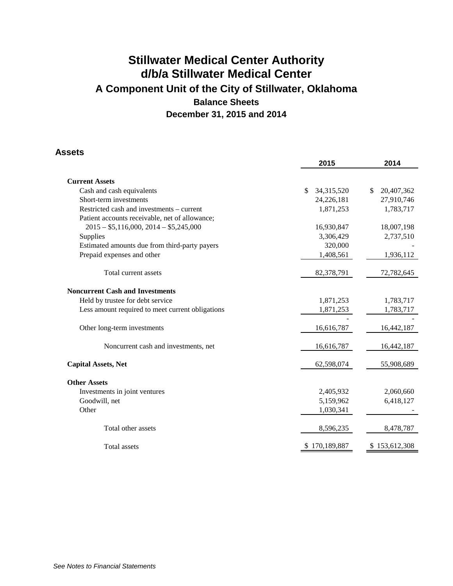### **Assets**

|                                                  | 2015               | 2014             |
|--------------------------------------------------|--------------------|------------------|
|                                                  |                    |                  |
| <b>Current Assets</b>                            |                    |                  |
| Cash and cash equivalents                        | \$<br>34, 315, 520 | \$<br>20,407,362 |
| Short-term investments                           | 24,226,181         | 27,910,746       |
| Restricted cash and investments – current        | 1,871,253          | 1,783,717        |
| Patient accounts receivable, net of allowance;   |                    |                  |
| $2015 - $5,116,000, 2014 - $5,245,000$           | 16,930,847         | 18,007,198       |
| Supplies                                         | 3,306,429          | 2,737,510        |
| Estimated amounts due from third-party payers    | 320,000            |                  |
| Prepaid expenses and other                       | 1,408,561          | 1,936,112        |
| Total current assets                             | 82,378,791         | 72,782,645       |
| <b>Noncurrent Cash and Investments</b>           |                    |                  |
| Held by trustee for debt service                 | 1,871,253          | 1,783,717        |
| Less amount required to meet current obligations | 1,871,253          | 1,783,717        |
| Other long-term investments                      | 16,616,787         | 16,442,187       |
| Noncurrent cash and investments, net             | 16,616,787         | 16,442,187       |
| <b>Capital Assets, Net</b>                       | 62,598,074         | 55,908,689       |
| <b>Other Assets</b>                              |                    |                  |
| Investments in joint ventures                    | 2,405,932          | 2,060,660        |
| Goodwill, net                                    | 5,159,962          | 6,418,127        |
| Other                                            | 1,030,341          |                  |
| Total other assets                               | 8,596,235          | 8,478,787        |
| <b>Total assets</b>                              | 170,189,887        | 153,612,308      |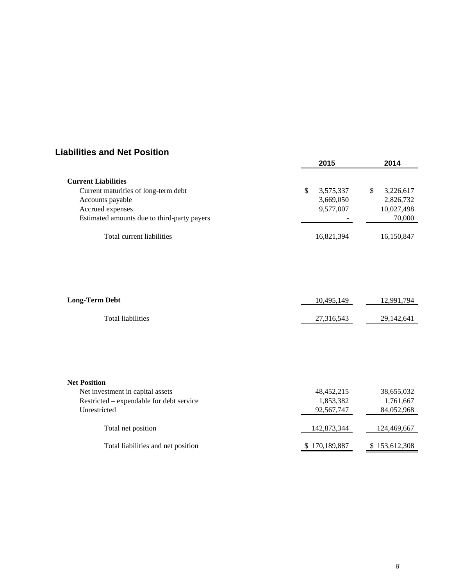### **Liabilities and Net Position**

|                                             | 2015             | 2014            |
|---------------------------------------------|------------------|-----------------|
| <b>Current Liabilities</b>                  |                  |                 |
| Current maturities of long-term debt        | 3,575,337<br>\$  | 3,226,617<br>\$ |
| Accounts payable                            | 3,669,050        | 2,826,732       |
| Accrued expenses                            | 9,577,007        | 10,027,498      |
| Estimated amounts due to third-party payers |                  | 70,000          |
|                                             |                  |                 |
| Total current liabilities                   | 16,821,394       | 16,150,847      |
|                                             |                  |                 |
| <b>Long-Term Debt</b>                       | 10,495,149       | 12,991,794      |
| <b>Total liabilities</b>                    | 27,316,543       | 29,142,641      |
|                                             |                  |                 |
| <b>Net Position</b>                         |                  |                 |
| Net investment in capital assets            | 48, 452, 215     | 38,655,032      |
| Restricted – expendable for debt service    | 1,853,382        | 1,761,667       |
| Unrestricted                                | 92,567,747       | 84,052,968      |
| Total net position                          | 142,873,344      | 124,469,667     |
| Total liabilities and net position          | 170,189,887<br>S | \$153,612,308   |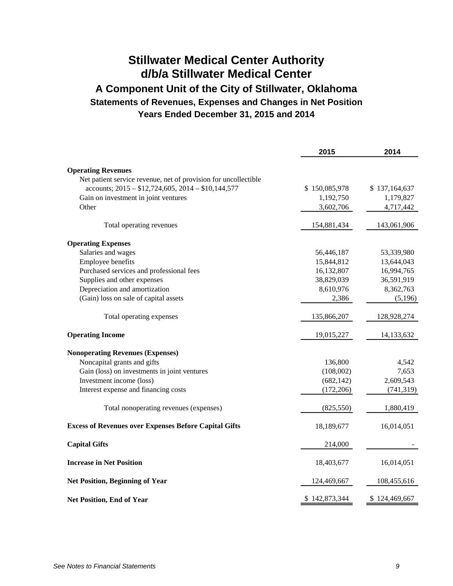# **Stillwater Medical Center Authority d/b/a Stillwater Medical Center**

### **A Component Unit of the City of Stillwater, Oklahoma Statements of Revenues, Expenses and Changes in Net Position Years Ended December 31, 2015 and 2014**

|                                                                                                                       | 2015          | 2014          |
|-----------------------------------------------------------------------------------------------------------------------|---------------|---------------|
|                                                                                                                       |               |               |
| <b>Operating Revenues</b>                                                                                             |               |               |
| Net patient service revenue, net of provision for uncollectible<br>accounts; $2015 - $12,724,605, 2014 - $10,144,577$ | \$150,085,978 | \$137,164,637 |
| Gain on investment in joint ventures                                                                                  | 1,192,750     | 1,179,827     |
| Other                                                                                                                 | 3,602,706     | 4,717,442     |
|                                                                                                                       |               |               |
| Total operating revenues                                                                                              | 154,881,434   | 143,061,906   |
| <b>Operating Expenses</b>                                                                                             |               |               |
| Salaries and wages                                                                                                    | 56,446,187    | 53,339,980    |
| Employee benefits                                                                                                     | 15,844,812    | 13,644,043    |
| Purchased services and professional fees                                                                              | 16,132,807    | 16,994,765    |
| Supplies and other expenses                                                                                           | 38,829,039    | 36,591,919    |
| Depreciation and amortization                                                                                         | 8,610,976     | 8,362,763     |
| (Gain) loss on sale of capital assets                                                                                 | 2,386         | (5,196)       |
| Total operating expenses                                                                                              | 135,866,207   | 128,928,274   |
| <b>Operating Income</b>                                                                                               | 19,015,227    | 14,133,632    |
| <b>Nonoperating Revenues (Expenses)</b>                                                                               |               |               |
| Noncapital grants and gifts                                                                                           | 136,800       | 4,542         |
| Gain (loss) on investments in joint ventures                                                                          | (108,002)     | 7,653         |
| Investment income (loss)                                                                                              | (682, 142)    | 2,609,543     |
| Interest expense and financing costs                                                                                  | (172, 206)    | (741, 319)    |
| Total nonoperating revenues (expenses)                                                                                | (825, 550)    | 1,880,419     |
| <b>Excess of Revenues over Expenses Before Capital Gifts</b>                                                          | 18,189,677    | 16,014,051    |
| <b>Capital Gifts</b>                                                                                                  | 214,000       |               |
| <b>Increase in Net Position</b>                                                                                       | 18,403,677    | 16,014,051    |
| <b>Net Position, Beginning of Year</b>                                                                                | 124,469,667   | 108,455,616   |
| <b>Net Position, End of Year</b>                                                                                      | \$142,873,344 | \$124,469,667 |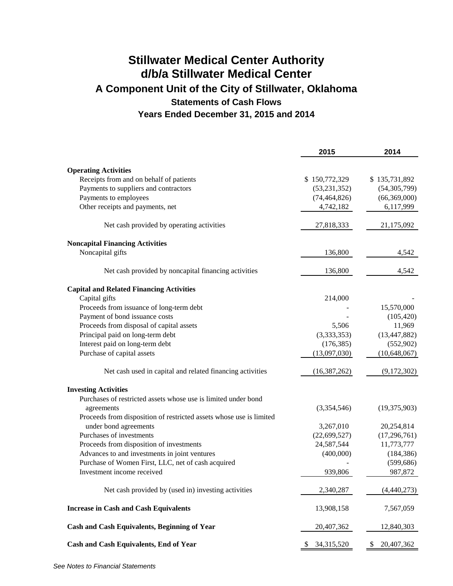# **Stillwater Medical Center Authority d/b/a Stillwater Medical Center A Component Unit of the City of Stillwater, Oklahoma Statements of Cash Flows Years Ended December 31, 2015 and 2014**

|                                                                     | 2015             | 2014            |
|---------------------------------------------------------------------|------------------|-----------------|
| <b>Operating Activities</b>                                         |                  |                 |
| Receipts from and on behalf of patients                             | \$150,772,329    | \$135,731,892   |
| Payments to suppliers and contractors                               | (53, 231, 352)   | (54, 305, 799)  |
| Payments to employees                                               | (74, 464, 826)   | (66,369,000)    |
| Other receipts and payments, net                                    | 4,742,182        | 6,117,999       |
| Net cash provided by operating activities                           | 27,818,333       | 21,175,092      |
| <b>Noncapital Financing Activities</b>                              |                  |                 |
| Noncapital gifts                                                    | 136,800          | 4,542           |
| Net cash provided by noncapital financing activities                | 136,800          | 4,542           |
| <b>Capital and Related Financing Activities</b>                     |                  |                 |
| Capital gifts                                                       | 214,000          |                 |
| Proceeds from issuance of long-term debt                            |                  | 15,570,000      |
| Payment of bond issuance costs                                      |                  | (105, 420)      |
| Proceeds from disposal of capital assets                            | 5,506            | 11,969          |
| Principal paid on long-term debt                                    | (3,333,353)      | (13, 447, 882)  |
| Interest paid on long-term debt                                     | (176, 385)       | (552,902)       |
| Purchase of capital assets                                          | (13,097,030)     | (10, 648, 067)  |
| Net cash used in capital and related financing activities           | (16, 387, 262)   | (9,172,302)     |
| <b>Investing Activities</b>                                         |                  |                 |
| Purchases of restricted assets whose use is limited under bond      |                  |                 |
| agreements                                                          | (3,354,546)      | (19,375,903)    |
| Proceeds from disposition of restricted assets whose use is limited |                  |                 |
| under bond agreements                                               | 3,267,010        | 20,254,814      |
| Purchases of investments                                            | (22, 699, 527)   | (17,296,761)    |
| Proceeds from disposition of investments                            | 24,587,544       | 11,773,777      |
| Advances to and investments in joint ventures                       | (400,000)        | (184, 386)      |
| Purchase of Women First, LLC, net of cash acquired                  |                  | (599, 686)      |
| Investment income received                                          | 939,806          | 987,872         |
| Net cash provided by (used in) investing activities                 | 2,340,287        | (4,440,273)     |
| <b>Increase in Cash and Cash Equivalents</b>                        | 13,908,158       | 7,567,059       |
| Cash and Cash Equivalents, Beginning of Year                        | 20,407,362       | 12,840,303      |
| <b>Cash and Cash Equivalents, End of Year</b>                       | 34,315,520<br>S. | 20,407,362<br>S |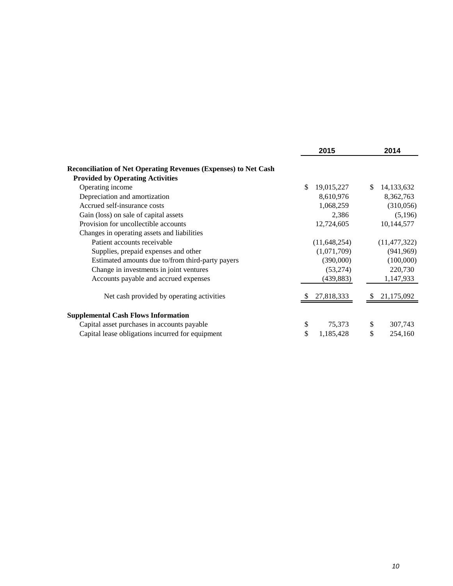|                                                                        | 2015             | 2014             |
|------------------------------------------------------------------------|------------------|------------------|
| <b>Reconciliation of Net Operating Revenues (Expenses) to Net Cash</b> |                  |                  |
| <b>Provided by Operating Activities</b>                                |                  |                  |
| Operating income                                                       | \$<br>19,015,227 | \$<br>14,133,632 |
| Depreciation and amortization                                          | 8,610,976        | 8,362,763        |
| Accrued self-insurance costs                                           | 1,068,259        | (310,056)        |
| Gain (loss) on sale of capital assets                                  | 2,386            | (5,196)          |
| Provision for uncollectible accounts                                   | 12,724,605       | 10,144,577       |
| Changes in operating assets and liabilities                            |                  |                  |
| Patient accounts receivable                                            | (11,648,254)     | (11, 477, 322)   |
| Supplies, prepaid expenses and other                                   | (1,071,709)      | (941, 969)       |
| Estimated amounts due to/from third-party payers                       | (390,000)        | (100,000)        |
| Change in investments in joint ventures                                | (53,274)         | 220,730          |
| Accounts payable and accrued expenses                                  | (439, 883)       | 1,147,933        |
| Net cash provided by operating activities                              | 27,818,333       | 21,175,092       |
| <b>Supplemental Cash Flows Information</b>                             |                  |                  |
| Capital asset purchases in accounts payable                            | \$<br>75,373     | \$<br>307,743    |
| Capital lease obligations incurred for equipment                       | \$<br>1,185,428  | \$<br>254,160    |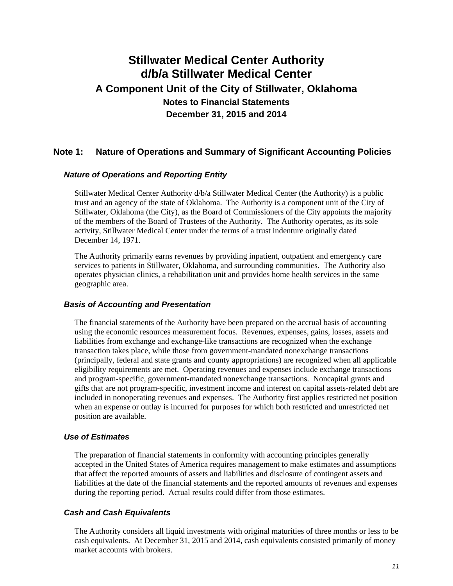#### **Note 1: Nature of Operations and Summary of Significant Accounting Policies**

#### *Nature of Operations and Reporting Entity*

Stillwater Medical Center Authority d/b/a Stillwater Medical Center (the Authority) is a public trust and an agency of the state of Oklahoma. The Authority is a component unit of the City of Stillwater, Oklahoma (the City), as the Board of Commissioners of the City appoints the majority of the members of the Board of Trustees of the Authority. The Authority operates, as its sole activity, Stillwater Medical Center under the terms of a trust indenture originally dated December 14, 1971.

The Authority primarily earns revenues by providing inpatient, outpatient and emergency care services to patients in Stillwater, Oklahoma, and surrounding communities. The Authority also operates physician clinics, a rehabilitation unit and provides home health services in the same geographic area.

#### *Basis of Accounting and Presentation*

The financial statements of the Authority have been prepared on the accrual basis of accounting using the economic resources measurement focus. Revenues, expenses, gains, losses, assets and liabilities from exchange and exchange-like transactions are recognized when the exchange transaction takes place, while those from government-mandated nonexchange transactions (principally, federal and state grants and county appropriations) are recognized when all applicable eligibility requirements are met. Operating revenues and expenses include exchange transactions and program-specific, government-mandated nonexchange transactions. Noncapital grants and gifts that are not program-specific, investment income and interest on capital assets-related debt are included in nonoperating revenues and expenses. The Authority first applies restricted net position when an expense or outlay is incurred for purposes for which both restricted and unrestricted net position are available.

#### *Use of Estimates*

The preparation of financial statements in conformity with accounting principles generally accepted in the United States of America requires management to make estimates and assumptions that affect the reported amounts of assets and liabilities and disclosure of contingent assets and liabilities at the date of the financial statements and the reported amounts of revenues and expenses during the reporting period. Actual results could differ from those estimates.

#### *Cash and Cash Equivalents*

The Authority considers all liquid investments with original maturities of three months or less to be cash equivalents. At December 31, 2015 and 2014, cash equivalents consisted primarily of money market accounts with brokers.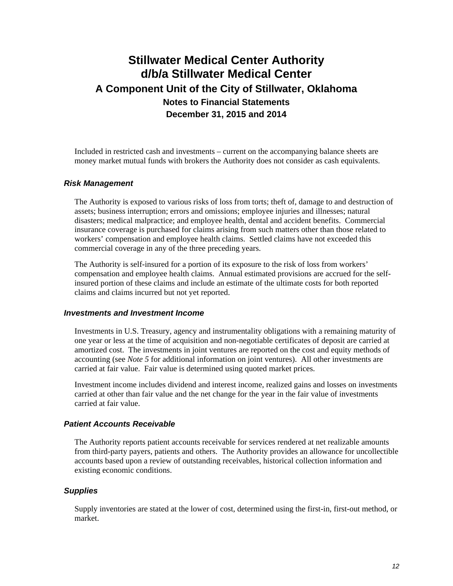Included in restricted cash and investments – current on the accompanying balance sheets are money market mutual funds with brokers the Authority does not consider as cash equivalents.

#### *Risk Management*

The Authority is exposed to various risks of loss from torts; theft of, damage to and destruction of assets; business interruption; errors and omissions; employee injuries and illnesses; natural disasters; medical malpractice; and employee health, dental and accident benefits. Commercial insurance coverage is purchased for claims arising from such matters other than those related to workers' compensation and employee health claims. Settled claims have not exceeded this commercial coverage in any of the three preceding years.

The Authority is self-insured for a portion of its exposure to the risk of loss from workers' compensation and employee health claims. Annual estimated provisions are accrued for the selfinsured portion of these claims and include an estimate of the ultimate costs for both reported claims and claims incurred but not yet reported.

#### *Investments and Investment Income*

Investments in U.S. Treasury, agency and instrumentality obligations with a remaining maturity of one year or less at the time of acquisition and non-negotiable certificates of deposit are carried at amortized cost. The investments in joint ventures are reported on the cost and equity methods of accounting (see *Note 5* for additional information on joint ventures). All other investments are carried at fair value. Fair value is determined using quoted market prices.

Investment income includes dividend and interest income, realized gains and losses on investments carried at other than fair value and the net change for the year in the fair value of investments carried at fair value.

#### *Patient Accounts Receivable*

The Authority reports patient accounts receivable for services rendered at net realizable amounts from third-party payers, patients and others. The Authority provides an allowance for uncollectible accounts based upon a review of outstanding receivables, historical collection information and existing economic conditions.

#### *Supplies*

Supply inventories are stated at the lower of cost, determined using the first-in, first-out method, or market.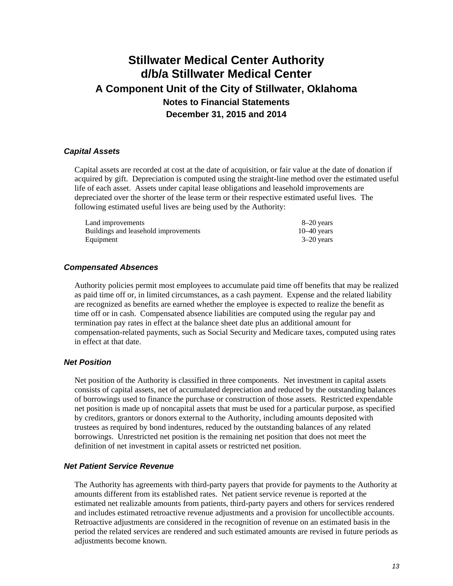#### *Capital Assets*

Capital assets are recorded at cost at the date of acquisition, or fair value at the date of donation if acquired by gift. Depreciation is computed using the straight-line method over the estimated useful life of each asset. Assets under capital lease obligations and leasehold improvements are depreciated over the shorter of the lease term or their respective estimated useful lives. The following estimated useful lives are being used by the Authority:

| Land improvements                    | 8–20 years    |
|--------------------------------------|---------------|
| Buildings and leasehold improvements | $10-40$ years |
| Equipment                            | $3-20$ years  |

#### *Compensated Absences*

Authority policies permit most employees to accumulate paid time off benefits that may be realized as paid time off or, in limited circumstances, as a cash payment. Expense and the related liability are recognized as benefits are earned whether the employee is expected to realize the benefit as time off or in cash. Compensated absence liabilities are computed using the regular pay and termination pay rates in effect at the balance sheet date plus an additional amount for compensation-related payments, such as Social Security and Medicare taxes, computed using rates in effect at that date.

#### *Net Position*

Net position of the Authority is classified in three components. Net investment in capital assets consists of capital assets, net of accumulated depreciation and reduced by the outstanding balances of borrowings used to finance the purchase or construction of those assets. Restricted expendable net position is made up of noncapital assets that must be used for a particular purpose, as specified by creditors, grantors or donors external to the Authority, including amounts deposited with trustees as required by bond indentures, reduced by the outstanding balances of any related borrowings. Unrestricted net position is the remaining net position that does not meet the definition of net investment in capital assets or restricted net position.

#### *Net Patient Service Revenue*

The Authority has agreements with third-party payers that provide for payments to the Authority at amounts different from its established rates. Net patient service revenue is reported at the estimated net realizable amounts from patients, third-party payers and others for services rendered and includes estimated retroactive revenue adjustments and a provision for uncollectible accounts. Retroactive adjustments are considered in the recognition of revenue on an estimated basis in the period the related services are rendered and such estimated amounts are revised in future periods as adjustments become known.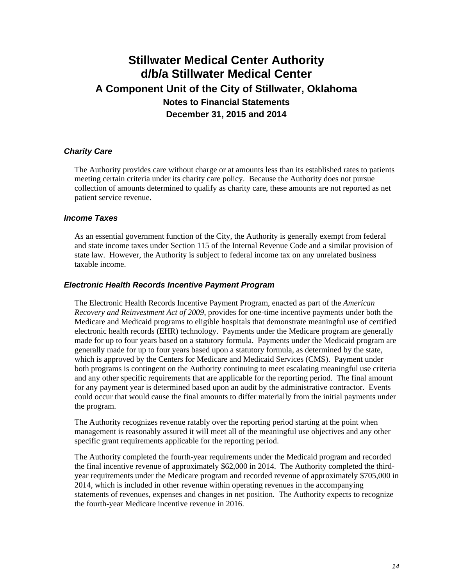#### *Charity Care*

The Authority provides care without charge or at amounts less than its established rates to patients meeting certain criteria under its charity care policy. Because the Authority does not pursue collection of amounts determined to qualify as charity care, these amounts are not reported as net patient service revenue.

#### *Income Taxes*

As an essential government function of the City, the Authority is generally exempt from federal and state income taxes under Section 115 of the Internal Revenue Code and a similar provision of state law. However, the Authority is subject to federal income tax on any unrelated business taxable income.

#### *Electronic Health Records Incentive Payment Program*

The Electronic Health Records Incentive Payment Program, enacted as part of the *American Recovery and Reinvestment Act of 2009*, provides for one-time incentive payments under both the Medicare and Medicaid programs to eligible hospitals that demonstrate meaningful use of certified electronic health records (EHR) technology. Payments under the Medicare program are generally made for up to four years based on a statutory formula. Payments under the Medicaid program are generally made for up to four years based upon a statutory formula, as determined by the state, which is approved by the Centers for Medicare and Medicaid Services (CMS). Payment under both programs is contingent on the Authority continuing to meet escalating meaningful use criteria and any other specific requirements that are applicable for the reporting period. The final amount for any payment year is determined based upon an audit by the administrative contractor. Events could occur that would cause the final amounts to differ materially from the initial payments under the program.

The Authority recognizes revenue ratably over the reporting period starting at the point when management is reasonably assured it will meet all of the meaningful use objectives and any other specific grant requirements applicable for the reporting period.

The Authority completed the fourth-year requirements under the Medicaid program and recorded the final incentive revenue of approximately \$62,000 in 2014. The Authority completed the thirdyear requirements under the Medicare program and recorded revenue of approximately \$705,000 in 2014, which is included in other revenue within operating revenues in the accompanying statements of revenues, expenses and changes in net position. The Authority expects to recognize the fourth-year Medicare incentive revenue in 2016.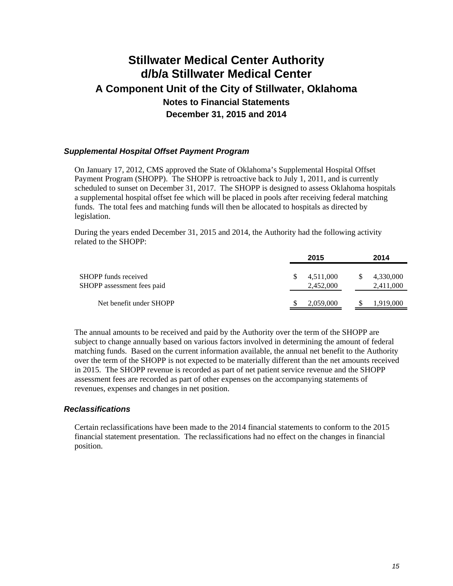#### *Supplemental Hospital Offset Payment Program*

On January 17, 2012, CMS approved the State of Oklahoma's Supplemental Hospital Offset Payment Program (SHOPP). The SHOPP is retroactive back to July 1, 2011, and is currently scheduled to sunset on December 31, 2017. The SHOPP is designed to assess Oklahoma hospitals a supplemental hospital offset fee which will be placed in pools after receiving federal matching funds. The total fees and matching funds will then be allocated to hospitals as directed by legislation.

During the years ended December 31, 2015 and 2014, the Authority had the following activity related to the SHOPP:

|                                                    | 2015                   |   | 2014                   |
|----------------------------------------------------|------------------------|---|------------------------|
| SHOPP funds received<br>SHOPP assessment fees paid | 4,511,000<br>2,452,000 | S | 4,330,000<br>2,411,000 |
| Net benefit under SHOPP                            | 2,059,000              |   | 1,919,000              |

The annual amounts to be received and paid by the Authority over the term of the SHOPP are subject to change annually based on various factors involved in determining the amount of federal matching funds. Based on the current information available, the annual net benefit to the Authority over the term of the SHOPP is not expected to be materially different than the net amounts received in 2015. The SHOPP revenue is recorded as part of net patient service revenue and the SHOPP assessment fees are recorded as part of other expenses on the accompanying statements of revenues, expenses and changes in net position.

#### *Reclassifications*

Certain reclassifications have been made to the 2014 financial statements to conform to the 2015 financial statement presentation. The reclassifications had no effect on the changes in financial position.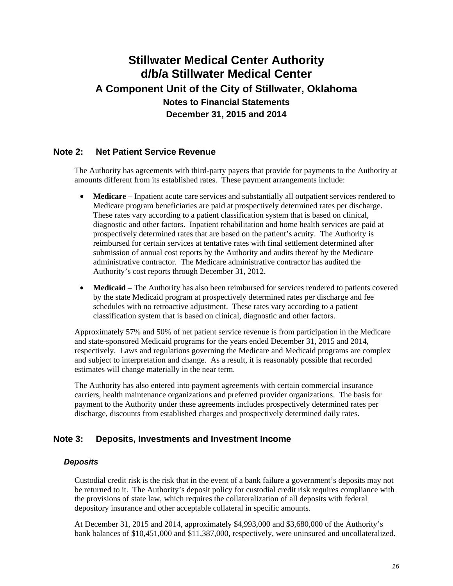#### **Note 2: Net Patient Service Revenue**

The Authority has agreements with third-party payers that provide for payments to the Authority at amounts different from its established rates. These payment arrangements include:

- **Medicare** Inpatient acute care services and substantially all outpatient services rendered to Medicare program beneficiaries are paid at prospectively determined rates per discharge. These rates vary according to a patient classification system that is based on clinical, diagnostic and other factors. Inpatient rehabilitation and home health services are paid at prospectively determined rates that are based on the patient's acuity. The Authority is reimbursed for certain services at tentative rates with final settlement determined after submission of annual cost reports by the Authority and audits thereof by the Medicare administrative contractor. The Medicare administrative contractor has audited the Authority's cost reports through December 31, 2012.
- **Medicaid** The Authority has also been reimbursed for services rendered to patients covered by the state Medicaid program at prospectively determined rates per discharge and fee schedules with no retroactive adjustment. These rates vary according to a patient classification system that is based on clinical, diagnostic and other factors.

Approximately 57% and 50% of net patient service revenue is from participation in the Medicare and state-sponsored Medicaid programs for the years ended December 31, 2015 and 2014, respectively. Laws and regulations governing the Medicare and Medicaid programs are complex and subject to interpretation and change. As a result, it is reasonably possible that recorded estimates will change materially in the near term.

The Authority has also entered into payment agreements with certain commercial insurance carriers, health maintenance organizations and preferred provider organizations. The basis for payment to the Authority under these agreements includes prospectively determined rates per discharge, discounts from established charges and prospectively determined daily rates.

#### **Note 3: Deposits, Investments and Investment Income**

#### *Deposits*

Custodial credit risk is the risk that in the event of a bank failure a government's deposits may not be returned to it. The Authority's deposit policy for custodial credit risk requires compliance with the provisions of state law, which requires the collateralization of all deposits with federal depository insurance and other acceptable collateral in specific amounts.

At December 31, 2015 and 2014, approximately \$4,993,000 and \$3,680,000 of the Authority's bank balances of \$10,451,000 and \$11,387,000, respectively, were uninsured and uncollateralized.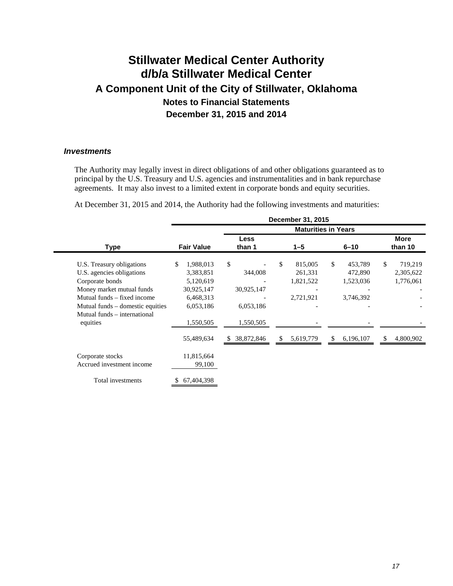#### *Investments*

The Authority may legally invest in direct obligations of and other obligations guaranteed as to principal by the U.S. Treasury and U.S. agencies and instrumentalities and in bank repurchase agreements. It may also invest to a limited extent in corporate bonds and equity securities.

At December 31, 2015 and 2014, the Authority had the following investments and maturities:

|                                                                                                                                                                                                                       |                                                                                                |                                                       | December 31, 2015                                  |                                                    |                                         |
|-----------------------------------------------------------------------------------------------------------------------------------------------------------------------------------------------------------------------|------------------------------------------------------------------------------------------------|-------------------------------------------------------|----------------------------------------------------|----------------------------------------------------|-----------------------------------------|
|                                                                                                                                                                                                                       |                                                                                                |                                                       |                                                    | <b>Maturities in Years</b>                         |                                         |
| <b>Type</b>                                                                                                                                                                                                           | <b>Fair Value</b>                                                                              | <b>Less</b><br>than 1                                 | $1 - 5$                                            | $6 - 10$                                           | More<br>than 10                         |
| U.S. Treasury obligations<br>U.S. agencies obligations<br>Corporate bonds<br>Money market mutual funds<br>Mutual funds – fixed income<br>Mutual funds – domestic equities<br>Mutual funds – international<br>equities | 1,988,013<br>\$<br>3,383,851<br>5,120,619<br>30,925,147<br>6,468,313<br>6,053,186<br>1,550,505 | \$<br>344,008<br>30,925,147<br>6,053,186<br>1,550,505 | \$<br>815,005<br>261,331<br>1,821,522<br>2,721,921 | \$<br>453,789<br>472,890<br>1,523,036<br>3,746,392 | \$<br>719,219<br>2,305,622<br>1,776,061 |
| Corporate stocks<br>Accrued investment income                                                                                                                                                                         | 55,489,634<br>11,815,664<br>99,100                                                             | 38,872,846<br>S.                                      | 5,619,779<br>\$                                    | S.<br>6,196,107                                    | \$.<br>4,800,902                        |
| Total investments                                                                                                                                                                                                     | 67,404,398                                                                                     |                                                       |                                                    |                                                    |                                         |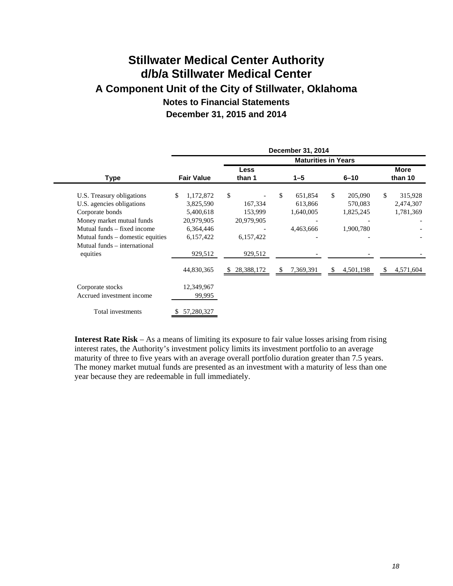|                                  |                   |            | December 31, 2014 |                            |                 |
|----------------------------------|-------------------|------------|-------------------|----------------------------|-----------------|
|                                  |                   |            |                   | <b>Maturities in Years</b> |                 |
|                                  |                   | Less       |                   |                            | <b>More</b>     |
| <b>Type</b>                      | <b>Fair Value</b> | than 1     | $1 - 5$           | $6 - 10$                   | than 10         |
| U.S. Treasury obligations        | \$<br>1,172,872   | \$         | \$<br>651,854     | \$<br>205,090              | \$<br>315,928   |
| U.S. agencies obligations        | 3,825,590         | 167,334    | 613,866           | 570,083                    | 2,474,307       |
| Corporate bonds                  | 5,400,618         | 153,999    | 1,640,005         | 1,825,245                  | 1,781,369       |
| Money market mutual funds        | 20,979,905        | 20,979,905 |                   |                            |                 |
| Mutual funds – fixed income      | 6,364,446         |            | 4,463,666         | 1,900,780                  |                 |
| Mutual funds – domestic equities | 6,157,422         | 6,157,422  |                   |                            |                 |
| Mutual funds – international     |                   |            |                   |                            |                 |
| equities                         | 929,512           | 929,512    |                   |                            |                 |
|                                  | 44,830,365        | 28,388,172 | 7,369,391<br>\$.  | 4,501,198<br>\$            | 4,571,604<br>S. |
| Corporate stocks                 | 12,349,967        |            |                   |                            |                 |
| Accrued investment income        | 99,995            |            |                   |                            |                 |
| Total investments                | 57,280,327        |            |                   |                            |                 |

**Interest Rate Risk** – As a means of limiting its exposure to fair value losses arising from rising interest rates, the Authority's investment policy limits its investment portfolio to an average maturity of three to five years with an average overall portfolio duration greater than 7.5 years. The money market mutual funds are presented as an investment with a maturity of less than one year because they are redeemable in full immediately.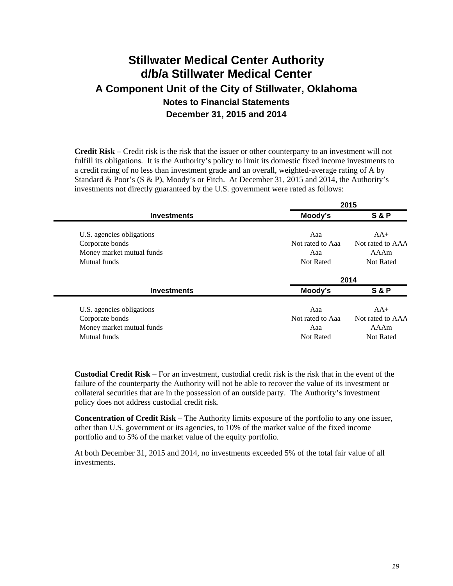**Credit Risk** – Credit risk is the risk that the issuer or other counterparty to an investment will not fulfill its obligations. It is the Authority's policy to limit its domestic fixed income investments to a credit rating of no less than investment grade and an overall, weighted-average rating of A by Standard & Poor's (S & P), Moody's or Fitch. At December 31, 2015 and 2014, the Authority's investments not directly guaranteed by the U.S. government were rated as follows:

|                  | 2015             |
|------------------|------------------|
| Moody's          | <b>S&amp;P</b>   |
| Aaa              | $AA+$            |
| Not rated to Aaa | Not rated to AAA |
| Aaa              | AAAm             |
| <b>Not Rated</b> | Not Rated        |
|                  | 2014             |
| Moody's          | <b>S&amp;P</b>   |
| Aaa              | $AA+$            |
| Not rated to Aaa | Not rated to AAA |
| Aaa              | AAAm             |
| Not Rated        | Not Rated        |
|                  |                  |

**Custodial Credit Risk** – For an investment, custodial credit risk is the risk that in the event of the failure of the counterparty the Authority will not be able to recover the value of its investment or collateral securities that are in the possession of an outside party. The Authority's investment policy does not address custodial credit risk.

**Concentration of Credit Risk** – The Authority limits exposure of the portfolio to any one issuer, other than U.S. government or its agencies, to 10% of the market value of the fixed income portfolio and to 5% of the market value of the equity portfolio.

At both December 31, 2015 and 2014, no investments exceeded 5% of the total fair value of all investments.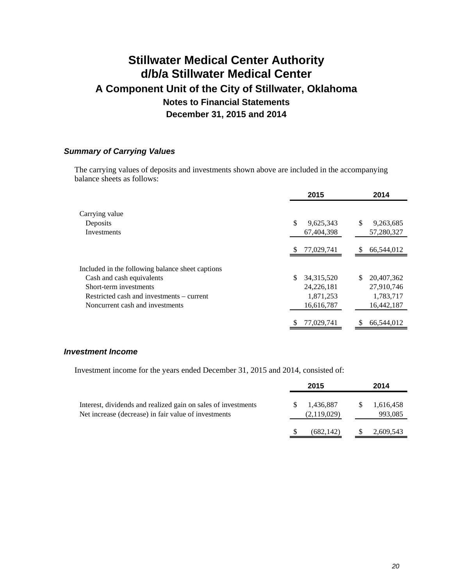#### *Summary of Carrying Values*

The carrying values of deposits and investments shown above are included in the accompanying balance sheets as follows:

|                                                  | 2015               | 2014              |
|--------------------------------------------------|--------------------|-------------------|
| Carrying value                                   |                    |                   |
| Deposits                                         | S<br>9,625,343     | \$<br>9,263,685   |
| Investments                                      | 67,404,398         | 57,280,327        |
|                                                  | 77,029,741         | 66,544,012<br>S   |
| Included in the following balance sheet captions |                    |                   |
| Cash and cash equivalents                        | \$<br>34, 315, 520 | 20,407,362<br>\$. |
| Short-term investments                           | 24,226,181         | 27,910,746        |
| Restricted cash and investments – current        | 1,871,253          | 1,783,717         |
| Noncurrent cash and investments                  | 16,616,787         | 16,442,187        |
|                                                  | 77,029,741         | 66,544,012        |

#### *Investment Income*

Investment income for the years ended December 31, 2015 and 2014, consisted of:

|                                                                                                                       | 2015                     |               | 2014                 |
|-----------------------------------------------------------------------------------------------------------------------|--------------------------|---------------|----------------------|
| Interest, dividends and realized gain on sales of investments<br>Net increase (decrease) in fair value of investments | 1.436.887<br>(2,119,029) |               | 1,616,458<br>993,085 |
|                                                                                                                       | (682, 142)               | $\mathcal{P}$ | 2,609,543            |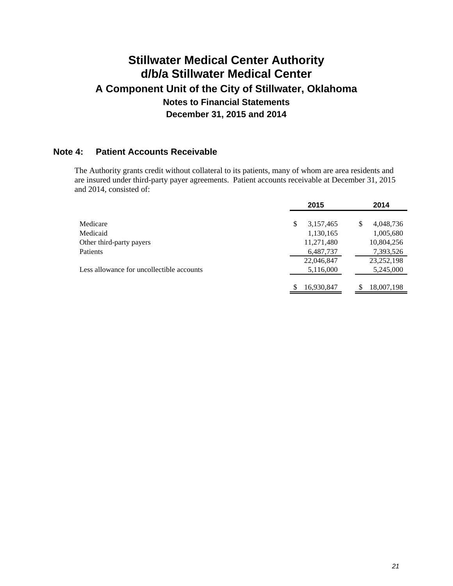### **Note 4: Patient Accounts Receivable**

The Authority grants credit without collateral to its patients, many of whom are area residents and are insured under third-party payer agreements. Patient accounts receivable at December 31, 2015 and 2014, consisted of:

|                                           | 2015            | 2014            |
|-------------------------------------------|-----------------|-----------------|
|                                           |                 |                 |
| Medicare                                  | \$<br>3,157,465 | \$<br>4,048,736 |
| Medicaid                                  | 1,130,165       | 1,005,680       |
| Other third-party payers                  | 11,271,480      | 10,804,256      |
| <b>Patients</b>                           | 6,487,737       | 7,393,526       |
|                                           | 22,046,847      | 23, 252, 198    |
| Less allowance for uncollectible accounts | 5,116,000       | 5,245,000       |
|                                           |                 |                 |
|                                           | 16,930,847      | 18,007,198      |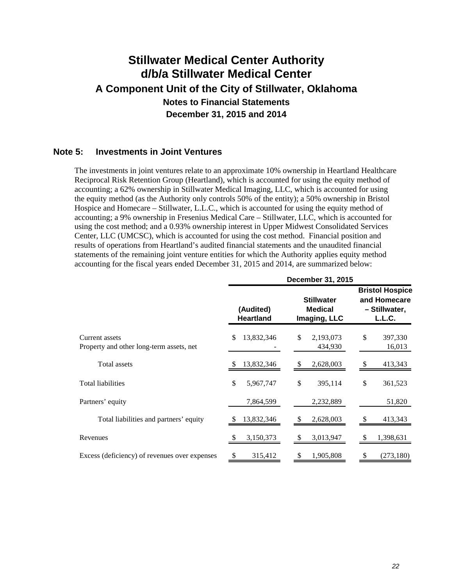#### **Note 5: Investments in Joint Ventures**

The investments in joint ventures relate to an approximate 10% ownership in Heartland Healthcare Reciprocal Risk Retention Group (Heartland), which is accounted for using the equity method of accounting; a 62% ownership in Stillwater Medical Imaging, LLC, which is accounted for using the equity method (as the Authority only controls 50% of the entity); a 50% ownership in Bristol Hospice and Homecare – Stillwater, L.L.C., which is accounted for using the equity method of accounting; a 9% ownership in Fresenius Medical Care – Stillwater, LLC, which is accounted for using the cost method; and a 0.93% ownership interest in Upper Midwest Consolidated Services Center, LLC (UMCSC), which is accounted for using the cost method. Financial position and results of operations from Heartland's audited financial statements and the unaudited financial statements of the remaining joint venture entities for which the Authority applies equity method accounting for the fiscal years ended December 31, 2015 and 2014, are summarized below:

|                                                            | December 31, 2015 |                                                                                      |    |                                                                   |          |                   |
|------------------------------------------------------------|-------------------|--------------------------------------------------------------------------------------|----|-------------------------------------------------------------------|----------|-------------------|
|                                                            |                   | <b>Stillwater</b><br>(Audited)<br><b>Medical</b><br><b>Heartland</b><br>Imaging, LLC |    | <b>Bristol Hospice</b><br>and Homecare<br>- Stillwater,<br>L.L.C. |          |                   |
| Current assets<br>Property and other long-term assets, net | \$.               | 13,832,346                                                                           | \$ | 2,193,073<br>434,930                                              | \$       | 397,330<br>16,013 |
| Total assets                                               |                   | 13,832,346                                                                           |    | 2,628,003                                                         | \$       | 413,343           |
| <b>Total liabilities</b>                                   | \$                | 5,967,747                                                                            | \$ | 395,114                                                           | \$       | 361,523           |
| Partners' equity                                           |                   | 7,864,599                                                                            |    | 2,232,889                                                         |          | 51,820            |
| Total liabilities and partners' equity                     |                   | 13,832,346                                                                           |    | 2,628,003                                                         | <b>S</b> | 413,343           |
| Revenues                                                   |                   | 3,150,373                                                                            |    | 3,013,947                                                         | \$.      | 1,398,631         |
| Excess (deficiency) of revenues over expenses              | \$                | 315,412                                                                              | \$ | 1,905,808                                                         | \$       | (273, 180)        |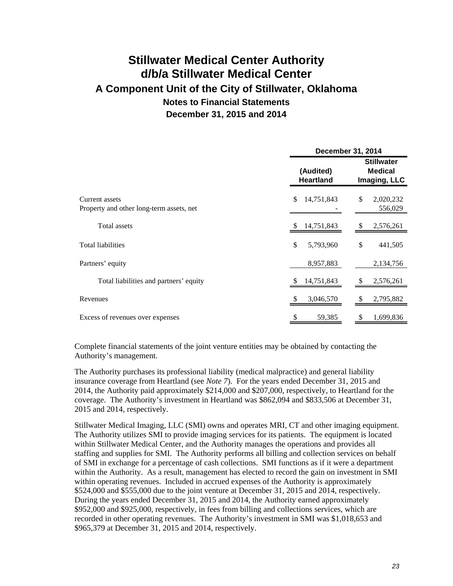|                                                            | <b>December 31, 2014</b>      |                                                     |  |  |
|------------------------------------------------------------|-------------------------------|-----------------------------------------------------|--|--|
|                                                            | (Audited)<br><b>Heartland</b> | <b>Stillwater</b><br><b>Medical</b><br>Imaging, LLC |  |  |
| Current assets<br>Property and other long-term assets, net | \$<br>14,751,843              | \$<br>2,020,232<br>556,029                          |  |  |
| Total assets                                               | 14,751,843                    | 2,576,261                                           |  |  |
| <b>Total liabilities</b>                                   | \$<br>5,793,960               | \$<br>441,505                                       |  |  |
| Partners' equity                                           | 8,957,883                     | 2,134,756                                           |  |  |
| Total liabilities and partners' equity                     | 14,751,843                    | 2,576,261                                           |  |  |
| Revenues                                                   | 3,046,570<br>Ж,               | 2,795,882<br>S                                      |  |  |
| Excess of revenues over expenses                           | 59,385                        | 1,699,836                                           |  |  |

Complete financial statements of the joint venture entities may be obtained by contacting the Authority's management.

The Authority purchases its professional liability (medical malpractice) and general liability insurance coverage from Heartland (see *Note 7*). For the years ended December 31, 2015 and 2014, the Authority paid approximately \$214,000 and \$207,000, respectively, to Heartland for the coverage. The Authority's investment in Heartland was \$862,094 and \$833,506 at December 31, 2015 and 2014, respectively.

Stillwater Medical Imaging, LLC (SMI) owns and operates MRI, CT and other imaging equipment. The Authority utilizes SMI to provide imaging services for its patients. The equipment is located within Stillwater Medical Center, and the Authority manages the operations and provides all staffing and supplies for SMI. The Authority performs all billing and collection services on behalf of SMI in exchange for a percentage of cash collections. SMI functions as if it were a department within the Authority. As a result, management has elected to record the gain on investment in SMI within operating revenues. Included in accrued expenses of the Authority is approximately \$524,000 and \$555,000 due to the joint venture at December 31, 2015 and 2014, respectively. During the years ended December 31, 2015 and 2014, the Authority earned approximately \$952,000 and \$925,000, respectively, in fees from billing and collections services, which are recorded in other operating revenues. The Authority's investment in SMI was \$1,018,653 and \$965,379 at December 31, 2015 and 2014, respectively.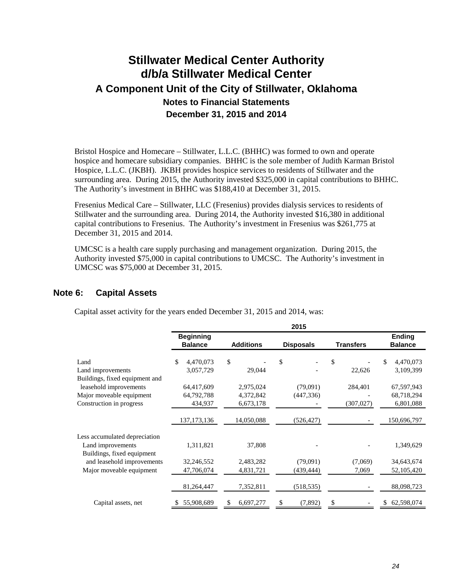Bristol Hospice and Homecare – Stillwater, L.L.C. (BHHC) was formed to own and operate hospice and homecare subsidiary companies. BHHC is the sole member of Judith Karman Bristol Hospice, L.L.C. (JKBH). JKBH provides hospice services to residents of Stillwater and the surrounding area. During 2015, the Authority invested \$325,000 in capital contributions to BHHC. The Authority's investment in BHHC was \$188,410 at December 31, 2015.

Fresenius Medical Care – Stillwater, LLC (Fresenius) provides dialysis services to residents of Stillwater and the surrounding area. During 2014, the Authority invested \$16,380 in additional capital contributions to Fresenius. The Authority's investment in Fresenius was \$261,775 at December 31, 2015 and 2014.

UMCSC is a health care supply purchasing and management organization. During 2015, the Authority invested \$75,000 in capital contributions to UMCSC. The Authority's investment in UMCSC was \$75,000 at December 31, 2015.

#### **Note 6: Capital Assets**

Capital asset activity for the years ended December 31, 2015 and 2014, was:

|                                                                                  |                                    |                        | 2015                   |                  |                                 |
|----------------------------------------------------------------------------------|------------------------------------|------------------------|------------------------|------------------|---------------------------------|
|                                                                                  | <b>Beginning</b><br><b>Balance</b> | <b>Additions</b>       | <b>Disposals</b>       | <b>Transfers</b> | <b>Ending</b><br><b>Balance</b> |
| Land<br>Land improvements                                                        | \$<br>4,470,073<br>3,057,729       | \$<br>29,044           | \$                     | \$<br>22,626     | \$<br>4,470,073<br>3,109,399    |
| Buildings, fixed equipment and<br>leasehold improvements                         | 64,417,609                         | 2,975,024              | (79,091)               | 284,401          | 67,597,943                      |
| Major moveable equipment<br>Construction in progress                             | 64,792,788<br>434,937              | 4,372,842<br>6,673,178 | (447, 336)             | (307, 027)       | 68,718,294<br>6,801,088         |
|                                                                                  | 137, 173, 136                      | 14,050,088             | (526, 427)             |                  | 150,696,797                     |
| Less accumulated depreciation<br>Land improvements<br>Buildings, fixed equipment | 1,311,821                          | 37,808                 |                        |                  | 1,349,629                       |
| and leasehold improvements<br>Major moveable equipment                           | 32,246,552<br>47,706,074           | 2,483,282<br>4,831,721 | (79,091)<br>(439, 444) | (7,069)<br>7,069 | 34,643,674<br>52,105,420        |
|                                                                                  | 81,264,447                         | 7,352,811              | (518, 535)             |                  | 88,098,723                      |
| Capital assets, net                                                              | 55,908,689                         | 6,697,277<br>S         | (7,892)                |                  | 62,598,074<br>S                 |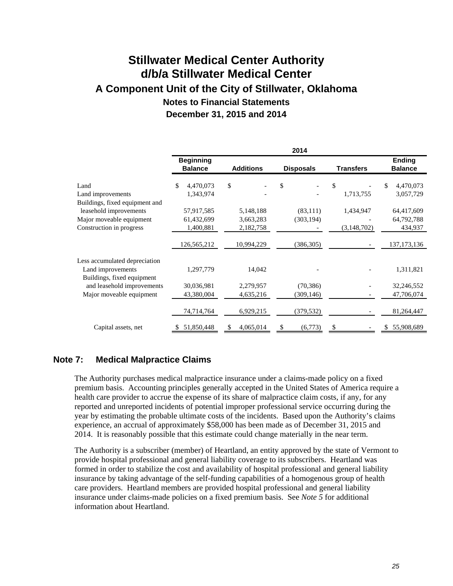|                                |                                    |                  | 2014             |                  |                                 |
|--------------------------------|------------------------------------|------------------|------------------|------------------|---------------------------------|
|                                | <b>Beginning</b><br><b>Balance</b> | <b>Additions</b> | <b>Disposals</b> | <b>Transfers</b> | <b>Ending</b><br><b>Balance</b> |
| Land                           | \$<br>4,470,073                    | \$               | \$               | \$               | 4,470,073<br>\$                 |
| Land improvements              | 1,343,974                          |                  |                  | 1,713,755        | 3,057,729                       |
| Buildings, fixed equipment and |                                    |                  |                  |                  |                                 |
| leasehold improvements         | 57,917,585                         | 5,148,188        | (83,111)         | 1,434,947        | 64,417,609                      |
| Major moveable equipment       | 61,432,699                         | 3,663,283        | (303, 194)       |                  | 64,792,788                      |
| Construction in progress       | 1,400,881                          | 2,182,758        |                  | (3, 148, 702)    | 434,937                         |
|                                |                                    |                  |                  |                  |                                 |
|                                | 126,565,212                        | 10,994,229       | (386, 305)       |                  | 137, 173, 136                   |
| Less accumulated depreciation  |                                    |                  |                  |                  |                                 |
| Land improvements              | 1,297,779                          | 14,042           |                  |                  | 1,311,821                       |
| Buildings, fixed equipment     |                                    |                  |                  |                  |                                 |
| and leasehold improvements     | 30,036,981                         | 2,279,957        | (70, 386)        |                  | 32,246,552                      |
| Major moveable equipment       | 43,380,004                         | 4,635,216        | (309, 146)       |                  | 47,706,074                      |
|                                |                                    |                  |                  |                  |                                 |
|                                | 74,714,764                         | 6,929,215        | (379, 532)       |                  | 81,264,447                      |
| Capital assets, net            | 51,850,448                         | 4,065,014        | \$<br>(6,773)    | \$               | 55,908,689                      |

### **Note 7: Medical Malpractice Claims**

The Authority purchases medical malpractice insurance under a claims-made policy on a fixed premium basis. Accounting principles generally accepted in the United States of America require a health care provider to accrue the expense of its share of malpractice claim costs, if any, for any reported and unreported incidents of potential improper professional service occurring during the year by estimating the probable ultimate costs of the incidents. Based upon the Authority's claims experience, an accrual of approximately \$58,000 has been made as of December 31, 2015 and 2014. It is reasonably possible that this estimate could change materially in the near term.

The Authority is a subscriber (member) of Heartland, an entity approved by the state of Vermont to provide hospital professional and general liability coverage to its subscribers. Heartland was formed in order to stabilize the cost and availability of hospital professional and general liability insurance by taking advantage of the self-funding capabilities of a homogenous group of health care providers. Heartland members are provided hospital professional and general liability insurance under claims-made policies on a fixed premium basis. See *Note 5* for additional information about Heartland.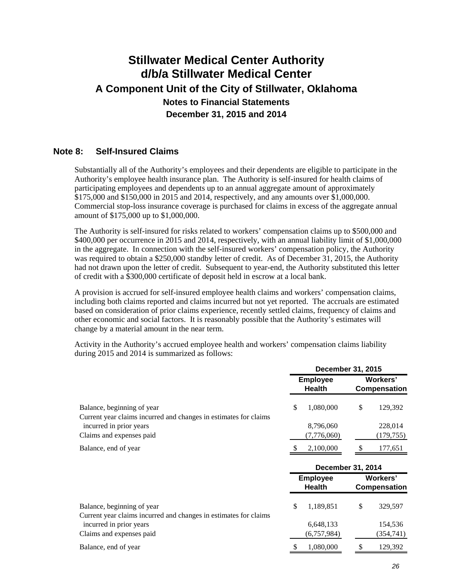#### **Note 8: Self-Insured Claims**

Substantially all of the Authority's employees and their dependents are eligible to participate in the Authority's employee health insurance plan. The Authority is self-insured for health claims of participating employees and dependents up to an annual aggregate amount of approximately \$175,000 and \$150,000 in 2015 and 2014, respectively, and any amounts over \$1,000,000. Commercial stop-loss insurance coverage is purchased for claims in excess of the aggregate annual amount of \$175,000 up to \$1,000,000.

The Authority is self-insured for risks related to workers' compensation claims up to \$500,000 and \$400,000 per occurrence in 2015 and 2014, respectively, with an annual liability limit of \$1,000,000 in the aggregate. In connection with the self-insured workers' compensation policy, the Authority was required to obtain a \$250,000 standby letter of credit. As of December 31, 2015, the Authority had not drawn upon the letter of credit. Subsequent to year-end, the Authority substituted this letter of credit with a \$300,000 certificate of deposit held in escrow at a local bank.

A provision is accrued for self-insured employee health claims and workers' compensation claims, including both claims reported and claims incurred but not yet reported. The accruals are estimated based on consideration of prior claims experience, recently settled claims, frequency of claims and other economic and social factors. It is reasonably possible that the Authority's estimates will change by a material amount in the near term.

Activity in the Authority's accrued employee health and workers' compensation claims liability during 2015 and 2014 is summarized as follows:

|                                                                                                | December 31, 2015 |                                  |                                 |                                 |
|------------------------------------------------------------------------------------------------|-------------------|----------------------------------|---------------------------------|---------------------------------|
|                                                                                                |                   | <b>Employee</b><br><b>Health</b> | Workers'<br><b>Compensation</b> |                                 |
| Balance, beginning of year<br>Current year claims incurred and changes in estimates for claims | \$                | 1,080,000                        | \$                              | 129,392                         |
| incurred in prior years                                                                        |                   | 8,796,060                        |                                 | 228,014                         |
| Claims and expenses paid                                                                       |                   | (7,776,060)                      |                                 | (179, 755)                      |
| Balance, end of year                                                                           |                   | 2,100,000                        | S.                              | 177,651                         |
|                                                                                                |                   | <b>December 31, 2014</b>         |                                 |                                 |
|                                                                                                |                   | <b>Employee</b><br><b>Health</b> |                                 | Workers'<br><b>Compensation</b> |
| Balance, beginning of year<br>Current year claims incurred and changes in estimates for claims | \$                | 1,189,851                        | \$                              | 329,597                         |
| incurred in prior years                                                                        |                   | 6,648,133                        |                                 | 154,536                         |
| Claims and expenses paid                                                                       |                   | (6,757,984)                      |                                 | (354,741)                       |
|                                                                                                |                   |                                  |                                 |                                 |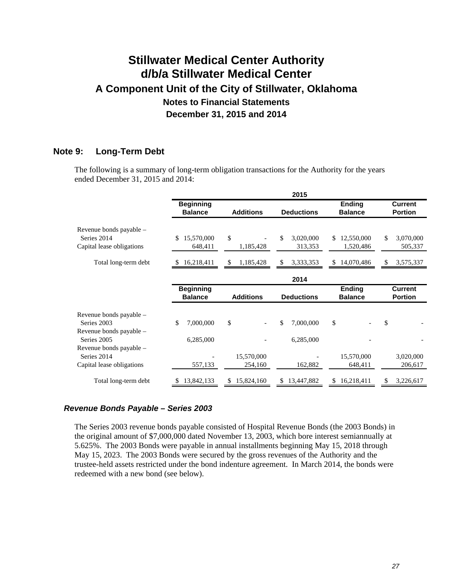### **Note 9: Long-Term Debt**

The following is a summary of long-term obligation transactions for the Authority for the years ended December 31, 2015 and 2014:

|                                        |                                    |                  | 2015              |                                 |                                  |
|----------------------------------------|------------------------------------|------------------|-------------------|---------------------------------|----------------------------------|
|                                        | <b>Beginning</b><br><b>Balance</b> | <b>Additions</b> | <b>Deductions</b> | <b>Ending</b><br><b>Balance</b> | <b>Current</b><br><b>Portion</b> |
| Revenue bonds payable -<br>Series 2014 | 15,570,000<br>\$                   | \$               | \$<br>3,020,000   | 12,550,000<br>\$.               | \$<br>3,070,000                  |
| Capital lease obligations              | 648,411                            | 1,185,428        | 313,353           | 1,520,486                       | 505,337                          |
| Total long-term debt                   | 16,218,411<br>\$                   | \$<br>1,185,428  | \$<br>3,333,353   | 14,070,486<br>\$                | 3,575,337<br>\$                  |
|                                        |                                    |                  | 2014              |                                 |                                  |
|                                        | <b>Beginning</b><br><b>Balance</b> | <b>Additions</b> | <b>Deductions</b> | <b>Ending</b><br><b>Balance</b> | <b>Current</b><br><b>Portion</b> |
| Revenue bonds payable –<br>Series 2003 | \$<br>7,000,000                    | \$               | 7,000,000<br>\$   | \$                              | \$                               |
| Revenue bonds payable –<br>Series 2005 | 6,285,000                          |                  | 6,285,000         |                                 |                                  |
| Revenue bonds payable -<br>Series 2014 |                                    | 15,570,000       |                   | 15,570,000                      | 3,020,000                        |
| Capital lease obligations              | 557,133                            | 254,160          | 162,882           | 648,411                         | 206,617                          |
| Total long-term debt                   | 13,842,133<br>\$.                  | 15,824,160<br>S. | 13,447,882<br>S.  | 16,218,411<br>S.                | 3,226,617<br>S                   |

#### *Revenue Bonds Payable – Series 2003*

The Series 2003 revenue bonds payable consisted of Hospital Revenue Bonds (the 2003 Bonds) in the original amount of \$7,000,000 dated November 13, 2003, which bore interest semiannually at 5.625%. The 2003 Bonds were payable in annual installments beginning May 15, 2018 through May 15, 2023. The 2003 Bonds were secured by the gross revenues of the Authority and the trustee-held assets restricted under the bond indenture agreement. In March 2014, the bonds were redeemed with a new bond (see below).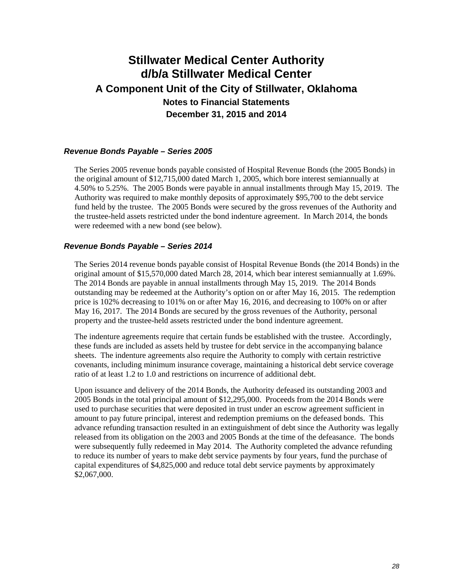#### *Revenue Bonds Payable – Series 2005*

The Series 2005 revenue bonds payable consisted of Hospital Revenue Bonds (the 2005 Bonds) in the original amount of \$12,715,000 dated March 1, 2005, which bore interest semiannually at 4.50% to 5.25%. The 2005 Bonds were payable in annual installments through May 15, 2019. The Authority was required to make monthly deposits of approximately \$95,700 to the debt service fund held by the trustee. The 2005 Bonds were secured by the gross revenues of the Authority and the trustee-held assets restricted under the bond indenture agreement. In March 2014, the bonds were redeemed with a new bond (see below).

#### *Revenue Bonds Payable – Series 2014*

The Series 2014 revenue bonds payable consist of Hospital Revenue Bonds (the 2014 Bonds) in the original amount of \$15,570,000 dated March 28, 2014, which bear interest semiannually at 1.69%. The 2014 Bonds are payable in annual installments through May 15, 2019. The 2014 Bonds outstanding may be redeemed at the Authority's option on or after May 16, 2015. The redemption price is 102% decreasing to 101% on or after May 16, 2016, and decreasing to 100% on or after May 16, 2017. The 2014 Bonds are secured by the gross revenues of the Authority, personal property and the trustee-held assets restricted under the bond indenture agreement.

The indenture agreements require that certain funds be established with the trustee. Accordingly, these funds are included as assets held by trustee for debt service in the accompanying balance sheets. The indenture agreements also require the Authority to comply with certain restrictive covenants, including minimum insurance coverage, maintaining a historical debt service coverage ratio of at least 1.2 to 1.0 and restrictions on incurrence of additional debt.

Upon issuance and delivery of the 2014 Bonds, the Authority defeased its outstanding 2003 and 2005 Bonds in the total principal amount of \$12,295,000. Proceeds from the 2014 Bonds were used to purchase securities that were deposited in trust under an escrow agreement sufficient in amount to pay future principal, interest and redemption premiums on the defeased bonds. This advance refunding transaction resulted in an extinguishment of debt since the Authority was legally released from its obligation on the 2003 and 2005 Bonds at the time of the defeasance. The bonds were subsequently fully redeemed in May 2014. The Authority completed the advance refunding to reduce its number of years to make debt service payments by four years, fund the purchase of capital expenditures of \$4,825,000 and reduce total debt service payments by approximately \$2,067,000.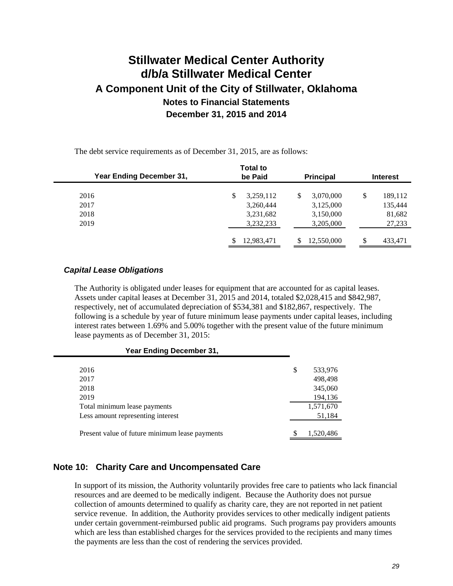The debt service requirements as of December 31, 2015, are as follows:

| <b>Year Ending December 31,</b> | <b>Total to</b><br>be Paid | <b>Principal</b> | <b>Interest</b> |
|---------------------------------|----------------------------|------------------|-----------------|
| 2016                            | \$<br>3,259,112            | 3,070,000<br>\$  | \$<br>189,112   |
| 2017                            | 3,260,444                  | 3,125,000        | 135,444         |
| 2018                            | 3,231,682                  | 3,150,000        | 81,682          |
| 2019                            | 3,232,233                  | 3,205,000        | 27,233          |
|                                 | S<br>12,983,471            | 12,550,000       | \$<br>433,471   |

#### *Capital Lease Obligations*

The Authority is obligated under leases for equipment that are accounted for as capital leases. Assets under capital leases at December 31, 2015 and 2014, totaled \$2,028,415 and \$842,987, respectively, net of accumulated depreciation of \$534,381 and \$182,867, respectively. The following is a schedule by year of future minimum lease payments under capital leases, including interest rates between 1.69% and 5.00% together with the present value of the future minimum lease payments as of December 31, 2015:

#### **Year Ending December 31,**

| 2016                                           | \$ | 533,976   |
|------------------------------------------------|----|-----------|
| 2017                                           |    | 498,498   |
| 2018                                           |    | 345,060   |
| 2019                                           |    | 194,136   |
| Total minimum lease payments                   |    | 1,571,670 |
| Less amount representing interest              |    | 51,184    |
|                                                |    |           |
| Present value of future minimum lease payments |    | 1,520,486 |

#### **Note 10: Charity Care and Uncompensated Care**

In support of its mission, the Authority voluntarily provides free care to patients who lack financial resources and are deemed to be medically indigent. Because the Authority does not pursue collection of amounts determined to qualify as charity care, they are not reported in net patient service revenue. In addition, the Authority provides services to other medically indigent patients under certain government-reimbursed public aid programs. Such programs pay providers amounts which are less than established charges for the services provided to the recipients and many times the payments are less than the cost of rendering the services provided.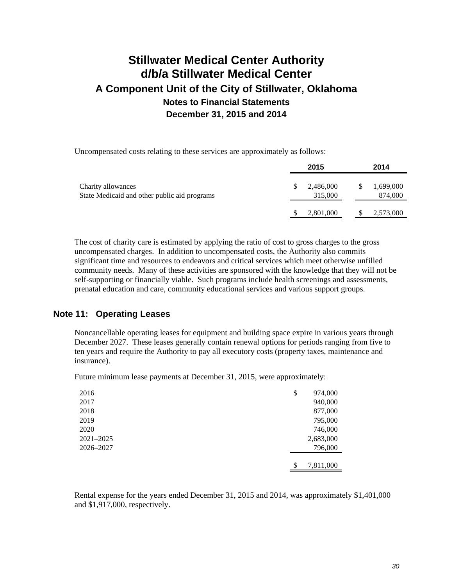Uncompensated costs relating to these services are approximately as follows:

|                                                                    | 2015                 |   | 2014                 |
|--------------------------------------------------------------------|----------------------|---|----------------------|
| Charity allowances<br>State Medicaid and other public aid programs | 2,486,000<br>315,000 | S | 1,699,000<br>874,000 |
|                                                                    | 2,801,000            |   | 2,573,000            |

The cost of charity care is estimated by applying the ratio of cost to gross charges to the gross uncompensated charges. In addition to uncompensated costs, the Authority also commits significant time and resources to endeavors and critical services which meet otherwise unfilled community needs. Many of these activities are sponsored with the knowledge that they will not be self-supporting or financially viable. Such programs include health screenings and assessments, prenatal education and care, community educational services and various support groups.

#### **Note 11: Operating Leases**

Noncancellable operating leases for equipment and building space expire in various years through December 2027. These leases generally contain renewal options for periods ranging from five to ten years and require the Authority to pay all executory costs (property taxes, maintenance and insurance).

Future minimum lease payments at December 31, 2015, were approximately:

| 2016      | \$<br>974,000   |
|-----------|-----------------|
| 2017      | 940,000         |
| 2018      | 877,000         |
| 2019      | 795,000         |
| 2020      | 746,000         |
| 2021-2025 | 2,683,000       |
| 2026-2027 | 796,000         |
|           |                 |
|           | \$<br>7,811,000 |

Rental expense for the years ended December 31, 2015 and 2014, was approximately \$1,401,000 and \$1,917,000, respectively.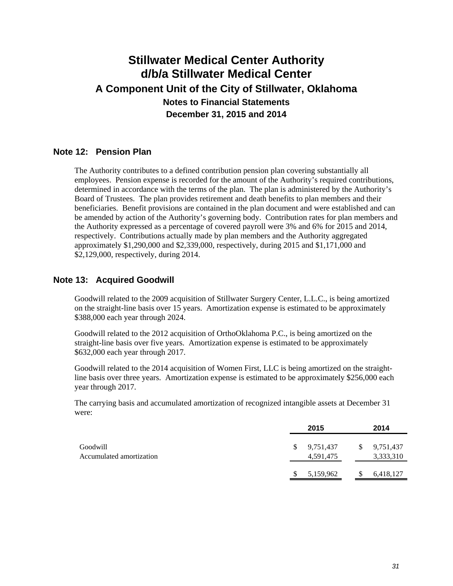#### **Note 12: Pension Plan**

The Authority contributes to a defined contribution pension plan covering substantially all employees. Pension expense is recorded for the amount of the Authority's required contributions, determined in accordance with the terms of the plan. The plan is administered by the Authority's Board of Trustees. The plan provides retirement and death benefits to plan members and their beneficiaries. Benefit provisions are contained in the plan document and were established and can be amended by action of the Authority's governing body. Contribution rates for plan members and the Authority expressed as a percentage of covered payroll were 3% and 6% for 2015 and 2014, respectively. Contributions actually made by plan members and the Authority aggregated approximately \$1,290,000 and \$2,339,000, respectively, during 2015 and \$1,171,000 and \$2,129,000, respectively, during 2014.

#### **Note 13: Acquired Goodwill**

Goodwill related to the 2009 acquisition of Stillwater Surgery Center, L.L.C., is being amortized on the straight-line basis over 15 years. Amortization expense is estimated to be approximately \$388,000 each year through 2024.

Goodwill related to the 2012 acquisition of OrthoOklahoma P.C., is being amortized on the straight-line basis over five years. Amortization expense is estimated to be approximately \$632,000 each year through 2017.

Goodwill related to the 2014 acquisition of Women First, LLC is being amortized on the straightline basis over three years. Amortization expense is estimated to be approximately \$256,000 each year through 2017.

The carrying basis and accumulated amortization of recognized intangible assets at December 31 were:

|                                      |   | 2015                   | 2014                         |
|--------------------------------------|---|------------------------|------------------------------|
| Goodwill<br>Accumulated amortization | S | 9,751,437<br>4,591,475 | \$<br>9,751,437<br>3,333,310 |
|                                      |   | 5,159,962              | 6,418,127                    |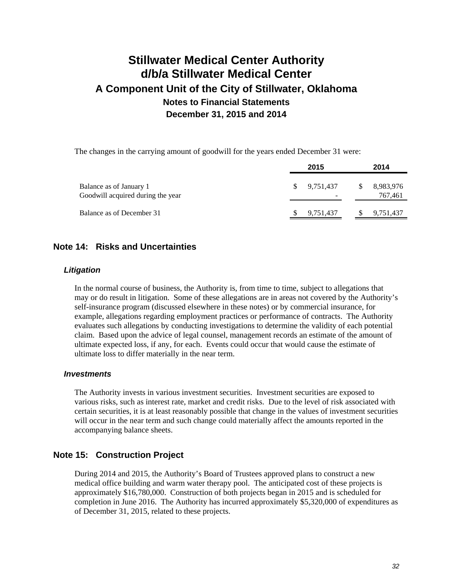The changes in the carrying amount of goodwill for the years ended December 31 were:

|                                                              |     | 2015                                  |   | 2014                 |
|--------------------------------------------------------------|-----|---------------------------------------|---|----------------------|
| Balance as of January 1<br>Goodwill acquired during the year | SS. | 9.751.437<br>$\overline{\phantom{a}}$ | S | 8,983,976<br>767,461 |
| Balance as of December 31                                    |     | 9,751,437                             |   | 9,751,437            |

#### **Note 14: Risks and Uncertainties**

#### *Litigation*

In the normal course of business, the Authority is, from time to time, subject to allegations that may or do result in litigation. Some of these allegations are in areas not covered by the Authority's self-insurance program (discussed elsewhere in these notes) or by commercial insurance, for example, allegations regarding employment practices or performance of contracts. The Authority evaluates such allegations by conducting investigations to determine the validity of each potential claim. Based upon the advice of legal counsel, management records an estimate of the amount of ultimate expected loss, if any, for each. Events could occur that would cause the estimate of ultimate loss to differ materially in the near term.

#### *Investments*

The Authority invests in various investment securities. Investment securities are exposed to various risks, such as interest rate, market and credit risks. Due to the level of risk associated with certain securities, it is at least reasonably possible that change in the values of investment securities will occur in the near term and such change could materially affect the amounts reported in the accompanying balance sheets.

#### **Note 15: Construction Project**

During 2014 and 2015, the Authority's Board of Trustees approved plans to construct a new medical office building and warm water therapy pool. The anticipated cost of these projects is approximately \$16,780,000. Construction of both projects began in 2015 and is scheduled for completion in June 2016. The Authority has incurred approximately \$5,320,000 of expenditures as of December 31, 2015, related to these projects.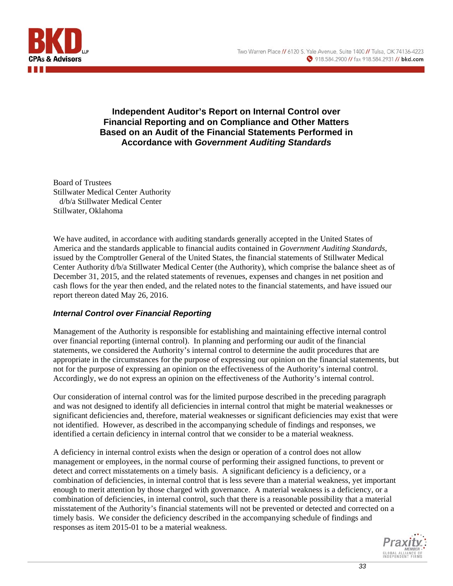

### **Independent Auditor's Report on Internal Control over Financial Reporting and on Compliance and Other Matters Based on an Audit of the Financial Statements Performed in Accordance with** *Government Auditing Standards*

Board of Trustees Stillwater Medical Center Authority d/b/a Stillwater Medical Center Stillwater, Oklahoma

We have audited, in accordance with auditing standards generally accepted in the United States of America and the standards applicable to financial audits contained in *Government Auditing Standards*, issued by the Comptroller General of the United States, the financial statements of Stillwater Medical Center Authority d/b/a Stillwater Medical Center (the Authority), which comprise the balance sheet as of December 31, 2015, and the related statements of revenues, expenses and changes in net position and cash flows for the year then ended, and the related notes to the financial statements, and have issued our report thereon dated May 26, 2016.

### *Internal Control over Financial Reporting*

Management of the Authority is responsible for establishing and maintaining effective internal control over financial reporting (internal control). In planning and performing our audit of the financial statements, we considered the Authority's internal control to determine the audit procedures that are appropriate in the circumstances for the purpose of expressing our opinion on the financial statements, but not for the purpose of expressing an opinion on the effectiveness of the Authority's internal control. Accordingly, we do not express an opinion on the effectiveness of the Authority's internal control.

Our consideration of internal control was for the limited purpose described in the preceding paragraph and was not designed to identify all deficiencies in internal control that might be material weaknesses or significant deficiencies and, therefore, material weaknesses or significant deficiencies may exist that were not identified. However, as described in the accompanying schedule of findings and responses, we identified a certain deficiency in internal control that we consider to be a material weakness.

A deficiency in internal control exists when the design or operation of a control does not allow management or employees, in the normal course of performing their assigned functions, to prevent or detect and correct misstatements on a timely basis. A significant deficiency is a deficiency, or a combination of deficiencies, in internal control that is less severe than a material weakness, yet important enough to merit attention by those charged with governance. A material weakness is a deficiency, or a combination of deficiencies, in internal control, such that there is a reasonable possibility that a material misstatement of the Authority's financial statements will not be prevented or detected and corrected on a timely basis. We consider the deficiency described in the accompanying schedule of findings and responses as item 2015-01 to be a material weakness.

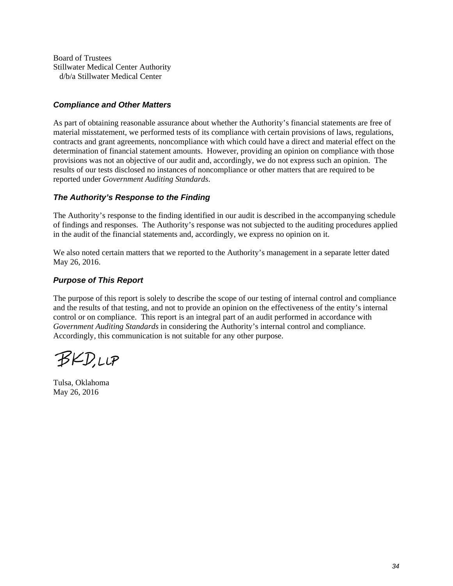Board of Trustees Stillwater Medical Center Authority d/b/a Stillwater Medical Center

#### *Compliance and Other Matters*

As part of obtaining reasonable assurance about whether the Authority's financial statements are free of material misstatement, we performed tests of its compliance with certain provisions of laws, regulations, contracts and grant agreements, noncompliance with which could have a direct and material effect on the determination of financial statement amounts. However, providing an opinion on compliance with those provisions was not an objective of our audit and, accordingly, we do not express such an opinion. The results of our tests disclosed no instances of noncompliance or other matters that are required to be reported under *Government Auditing Standards*.

#### *The Authority's Response to the Finding*

The Authority's response to the finding identified in our audit is described in the accompanying schedule of findings and responses. The Authority's response was not subjected to the auditing procedures applied in the audit of the financial statements and, accordingly, we express no opinion on it.

We also noted certain matters that we reported to the Authority's management in a separate letter dated May 26, 2016.

#### *Purpose of This Report*

The purpose of this report is solely to describe the scope of our testing of internal control and compliance and the results of that testing, and not to provide an opinion on the effectiveness of the entity's internal control or on compliance. This report is an integral part of an audit performed in accordance with *Government Auditing Standards* in considering the Authority's internal control and compliance. Accordingly, this communication is not suitable for any other purpose.

**BKD,LLP** 

Tulsa, Oklahoma May 26, 2016